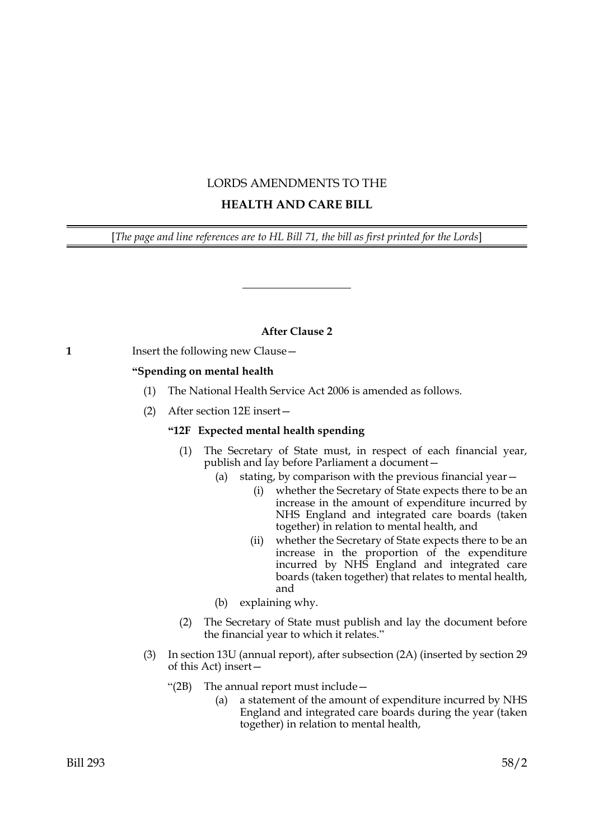# LORDS AMENDMENTS TO THE

# **HEALTH AND CARE BILL**

[*The page and line references are to HL Bill 71, the bill as first printed for the Lords*]

# **After Clause 2**

# **1** Insert the following new Clause -

# **"Spending on mental health**

- (1) The National Health Service Act 2006 is amended as follows.
- (2) After section 12E insert—

# **"12F Expected mental health spending**

- (1) The Secretary of State must, in respect of each financial year, publish and lay before Parliament a document—
	- (a) stating, by comparison with the previous financial year—
		- (i) whether the Secretary of State expects there to be an increase in the amount of expenditure incurred by NHS England and integrated care boards (taken together) in relation to mental health, and
		- (ii) whether the Secretary of State expects there to be an increase in the proportion of the expenditure incurred by NHS England and integrated care boards (taken together) that relates to mental health, and
	- (b) explaining why.
- (2) The Secretary of State must publish and lay the document before the financial year to which it relates."
- (3) In section 13U (annual report), after subsection (2A) (inserted by section 29 of this Act) insert—
	- "(2B) The annual report must include—
		- (a) a statement of the amount of expenditure incurred by NHS England and integrated care boards during the year (taken together) in relation to mental health,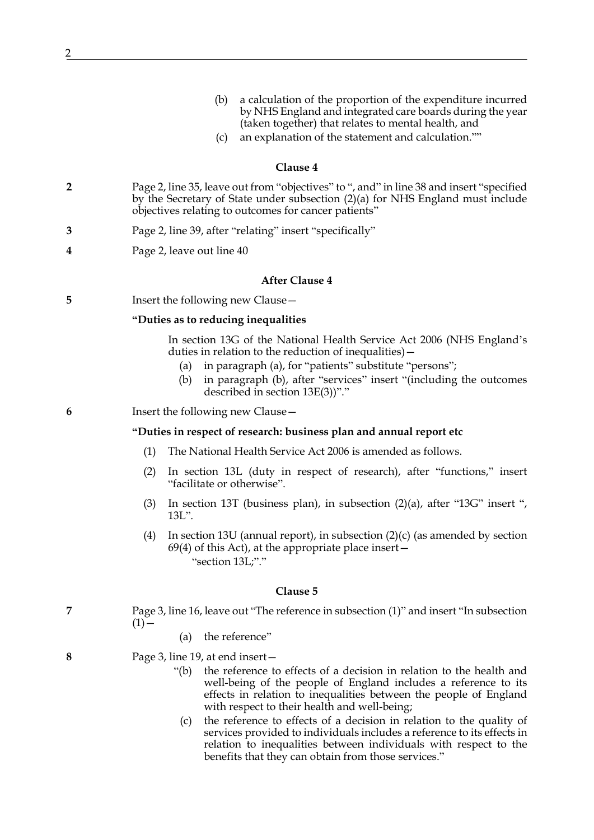- (b) a calculation of the proportion of the expenditure incurred by NHS England and integrated care boards during the year (taken together) that relates to mental health, and
- (c) an explanation of the statement and calculation.""

- **2** Page 2, line 35, leave out from "objectives" to ", and" in line 38 and insert "specified by the Secretary of State under subsection (2)(a) for NHS England must include objectives relating to outcomes for cancer patients"
- **3** Page 2, line 39, after "relating" insert "specifically"
- **4** Page 2, leave out line 40

## **After Clause 4**

**5** Insert the following new Clause —

## **"Duties as to reducing inequalities**

In section 13G of the National Health Service Act 2006 (NHS England's duties in relation to the reduction of inequalities)—

- (a) in paragraph (a), for "patients" substitute "persons";
- (b) in paragraph (b), after "services" insert "(including the outcomes described in section 13E(3))"."
- **6** Insert the following new Clause—

## **"Duties in respect of research: business plan and annual report etc**

- (1) The National Health Service Act 2006 is amended as follows.
- (2) In section 13L (duty in respect of research), after "functions," insert "facilitate or otherwise".
- (3) In section 13T (business plan), in subsection (2)(a), after "13G" insert ", 13L".
- (4) In section 13U (annual report), in subsection  $(2)(c)$  (as amended by section  $69(4)$  of this Act), at the appropriate place insert  $-$ "section 13L;"."

#### **Clause 5**

- **7** Page 3, line 16, leave out "The reference in subsection (1)" and insert "In subsection  $(1)$  —
	- (a) the reference"
- **8** Page 3, line 19, at end insert—
	- "(b) the reference to effects of a decision in relation to the health and well-being of the people of England includes a reference to its effects in relation to inequalities between the people of England with respect to their health and well-being;
		- (c) the reference to effects of a decision in relation to the quality of services provided to individuals includes a reference to its effects in relation to inequalities between individuals with respect to the benefits that they can obtain from those services."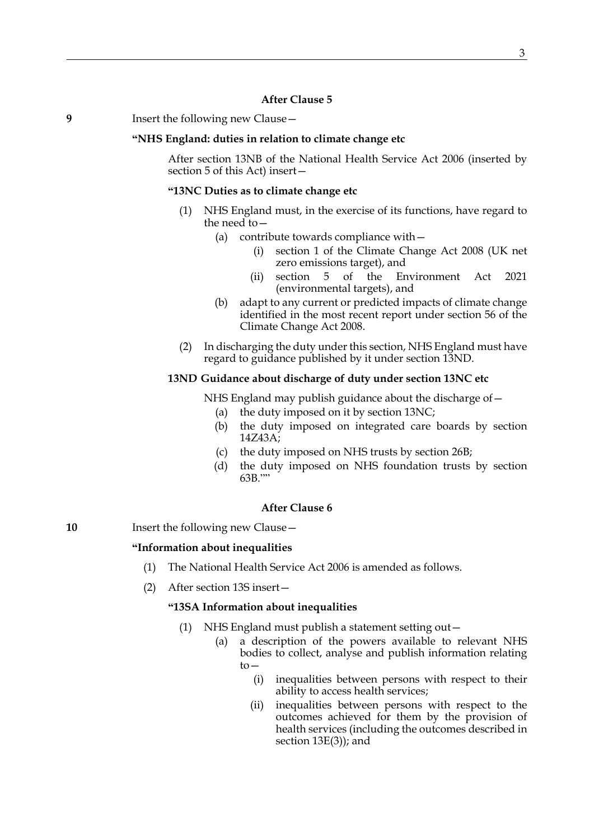# **After Clause 5**

**9** Insert the following new Clause—

## **"NHS England: duties in relation to climate change etc**

After section 13NB of the National Health Service Act 2006 (inserted by section 5 of this Act) insert—

## <span id="page-2-1"></span>**"13NC Duties as to climate change etc**

- (1) NHS England must, in the exercise of its functions, have regard to the need to—
	- (a) contribute towards compliance with
		- section 1 of the Climate Change Act 2008 (UK net zero emissions target), and
		- (ii) section 5 of the Environment Act 2021 (environmental targets), and
	- (b) adapt to any current or predicted impacts of climate change identified in the most recent report under section 56 of the Climate Change Act 2008.
- (2) In discharging the duty under this section, NHS England must have regard to guidance published by it under section [13ND.](#page-2-0)

## <span id="page-2-0"></span>**13ND Guidance about discharge of duty under section [13NC](#page-2-1) etc**

NHS England may publish guidance about the discharge of—

- (a) the duty imposed on it by section [13NC](#page-2-1);
- (b) the duty imposed on integrated care boards by section [14Z43A](#page-4-0);
- (c) the duty imposed on NHS trusts by section [26B;](#page-6-0)
- (d) the duty imposed on NHS foundation trusts by section [63B](#page-7-0).""

## **After Clause 6**

**10** Insert the following new Clause -

#### **"Information about inequalities**

- (1) The National Health Service Act 2006 is amended as follows.
- (2) After section 13S insert—

## **"13SA Information about inequalities**

- (1) NHS England must publish a statement setting out—
	- (a) a description of the powers available to relevant NHS bodies to collect, analyse and publish information relating to—
		- (i) inequalities between persons with respect to their ability to access health services;
		- (ii) inequalities between persons with respect to the outcomes achieved for them by the provision of health services (including the outcomes described in section 13E(3)); and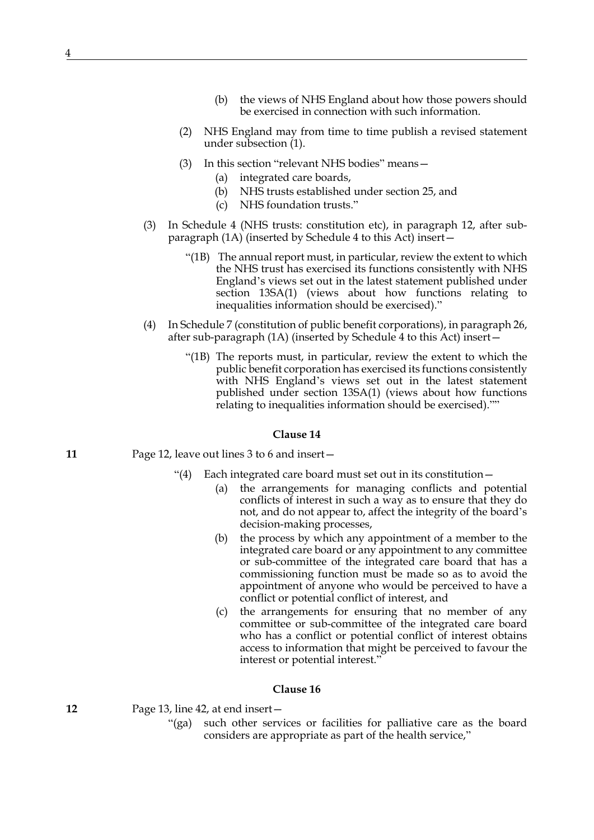- (b) the views of NHS England about how those powers should be exercised in connection with such information.
- (2) NHS England may from time to time publish a revised statement under subsection (1).
- (3) In this section "relevant NHS bodies" means—
	- (a) integrated care boards,
	- (b) NHS trusts established under section 25, and
	- (c) NHS foundation trusts."
- (3) In Schedule 4 (NHS trusts: constitution etc), in paragraph 12, after subparagraph (1A) (inserted by Schedule 4 to this Act) insert—
	- "(1B) The annual report must, in particular, review the extent to which the NHS trust has exercised its functions consistently with NHS England's views set out in the latest statement published under section 13SA(1) (views about how functions relating to inequalities information should be exercised)."
- (4) In Schedule 7 (constitution of public benefit corporations), in paragraph 26, after sub-paragraph (1A) (inserted by Schedule 4 to this Act) insert—
	- "(1B) The reports must, in particular, review the extent to which the public benefit corporation has exercised its functions consistently with NHS England's views set out in the latest statement published under section 13SA(1) (views about how functions relating to inequalities information should be exercised).""

- **11** Page 12, leave out lines 3 to 6 and insert—
	- "(4) Each integrated care board must set out in its constitution—
		- (a) the arrangements for managing conflicts and potential conflicts of interest in such a way as to ensure that they do not, and do not appear to, affect the integrity of the board's decision-making processes,
		- (b) the process by which any appointment of a member to the integrated care board or any appointment to any committee or sub-committee of the integrated care board that has a commissioning function must be made so as to avoid the appointment of anyone who would be perceived to have a conflict or potential conflict of interest, and
		- (c) the arrangements for ensuring that no member of any committee or sub-committee of the integrated care board who has a conflict or potential conflict of interest obtains access to information that might be perceived to favour the interest or potential interest."

#### **Clause 16**

**12** Page 13, line 42, at end insert—

"(ga) such other services or facilities for palliative care as the board considers are appropriate as part of the health service,"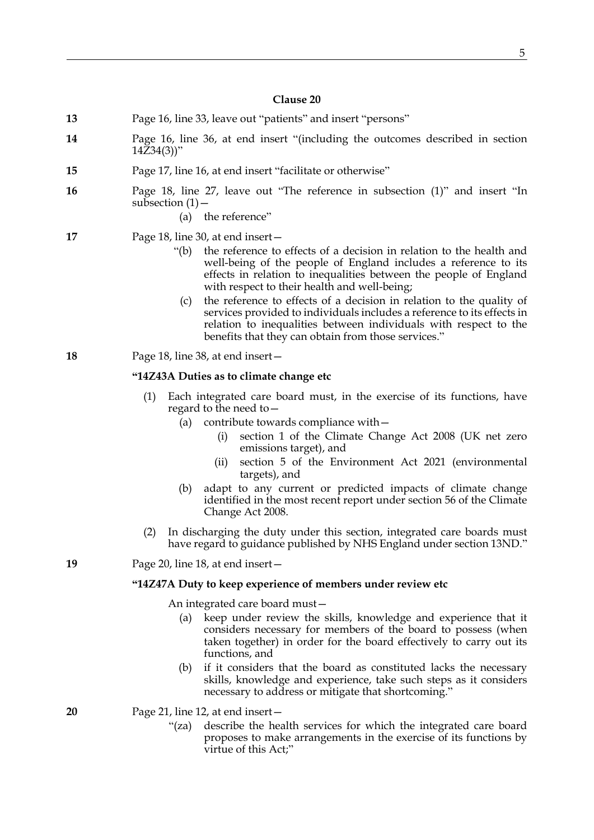- **13** Page 16, line 33, leave out "patients" and insert "persons"
- **14** Page 16, line 36, at end insert "(including the outcomes described in section  $14Z34(3)$ "
- **15** Page 17, line 16, at end insert "facilitate or otherwise"
- **16** Page 18, line 27, leave out "The reference in subsection (1)" and insert "In subsection  $(1)$  –
	- (a) the reference"
- **17** Page 18, line 30, at end insert—
	- "(b) the reference to effects of a decision in relation to the health and well-being of the people of England includes a reference to its effects in relation to inequalities between the people of England with respect to their health and well-being;
		- (c) the reference to effects of a decision in relation to the quality of services provided to individuals includes a reference to its effects in relation to inequalities between individuals with respect to the benefits that they can obtain from those services."
- **18** Page 18, line 38, at end insert—

## <span id="page-4-0"></span>**"14Z43A Duties as to climate change etc**

- (1) Each integrated care board must, in the exercise of its functions, have regard to the need to—
	- (a) contribute towards compliance with—
		- (i) section 1 of the Climate Change Act 2008 (UK net zero emissions target), and
		- (ii) section 5 of the Environment Act 2021 (environmental targets), and
	- (b) adapt to any current or predicted impacts of climate change identified in the most recent report under section 56 of the Climate Change Act 2008.
- (2) In discharging the duty under this section, integrated care boards must have regard to guidance published by NHS England under section [13ND](#page-2-0)."

**19** Page 20, line 18, at end insert—

#### **"14Z47A Duty to keep experience of members under review etc**

An integrated care board must—

- (a) keep under review the skills, knowledge and experience that it considers necessary for members of the board to possess (when taken together) in order for the board effectively to carry out its functions, and
- (b) if it considers that the board as constituted lacks the necessary skills, knowledge and experience, take such steps as it considers necessary to address or mitigate that shortcoming."
- **20** Page 21, line 12, at end insert—
	- "(za) describe the health services for which the integrated care board proposes to make arrangements in the exercise of its functions by virtue of this Act;"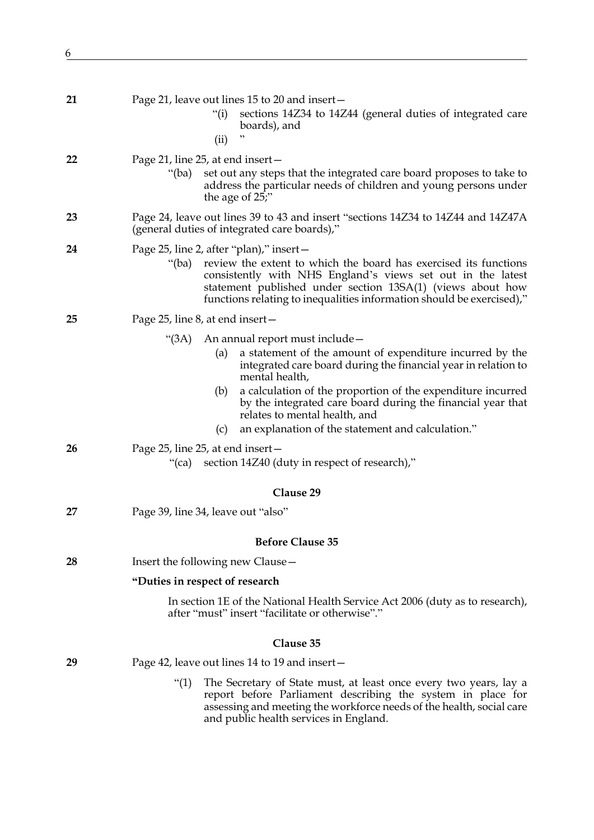| ۰.      | ٧<br>٧             |
|---------|--------------------|
| ۰,<br>٠ |                    |
| ×       | I<br>۰,<br>I<br>۰, |
|         |                    |

| 21 | Page 21, leave out lines 15 to 20 and insert –<br>sections 14Z34 to 14Z44 (general duties of integrated care<br>"(i)<br>boards), and<br>(ii)                                                                                                                                                                                |
|----|-----------------------------------------------------------------------------------------------------------------------------------------------------------------------------------------------------------------------------------------------------------------------------------------------------------------------------|
| 22 | Page 21, line 25, at end insert –<br>set out any steps that the integrated care board proposes to take to<br>"(ba)<br>address the particular needs of children and young persons under<br>the age of 25;"                                                                                                                   |
| 23 | Page 24, leave out lines 39 to 43 and insert "sections 14Z34 to 14Z44 and 14Z47A<br>(general duties of integrated care boards),"                                                                                                                                                                                            |
| 24 | Page 25, line 2, after "plan)," insert -<br>review the extent to which the board has exercised its functions<br>"(ba)<br>consistently with NHS England's views set out in the latest<br>statement published under section 13SA(1) (views about how<br>functions relating to inequalities information should be exercised)," |
| 25 | Page 25, line 8, at end insert-                                                                                                                                                                                                                                                                                             |
|    | " $(3A)$<br>An annual report must include -<br>a statement of the amount of expenditure incurred by the<br>(a)<br>integrated care board during the financial year in relation to<br>mental health,                                                                                                                          |
|    | a calculation of the proportion of the expenditure incurred<br>(b)<br>by the integrated care board during the financial year that<br>relates to mental health, and<br>an explanation of the statement and calculation."<br>(c)                                                                                              |
| 26 | Page 25, line 25, at end insert-<br>section 14Z40 (duty in respect of research),"<br>"(ca)                                                                                                                                                                                                                                  |
|    | Clause 29                                                                                                                                                                                                                                                                                                                   |
| 27 | Page 39, line 34, leave out "also"                                                                                                                                                                                                                                                                                          |
|    | <b>Before Clause 35</b>                                                                                                                                                                                                                                                                                                     |
| 28 | Insert the following new Clause -                                                                                                                                                                                                                                                                                           |
|    | "Duties in respect of research                                                                                                                                                                                                                                                                                              |
|    | In section 1E of the National Health Service Act 2006 (duty as to research),<br>after "must" insert "facilitate or otherwise"."                                                                                                                                                                                             |
|    | Clause 35                                                                                                                                                                                                                                                                                                                   |
| 29 | Page 42, leave out lines 14 to 19 and insert –                                                                                                                                                                                                                                                                              |
|    | $\lq(1)$<br>The Secretary of State must, at least once every two years, lay a<br>report before Parliament describing the system in place for<br>assessing and meeting the workforce needs of the health, social care<br>and public health services in England.                                                              |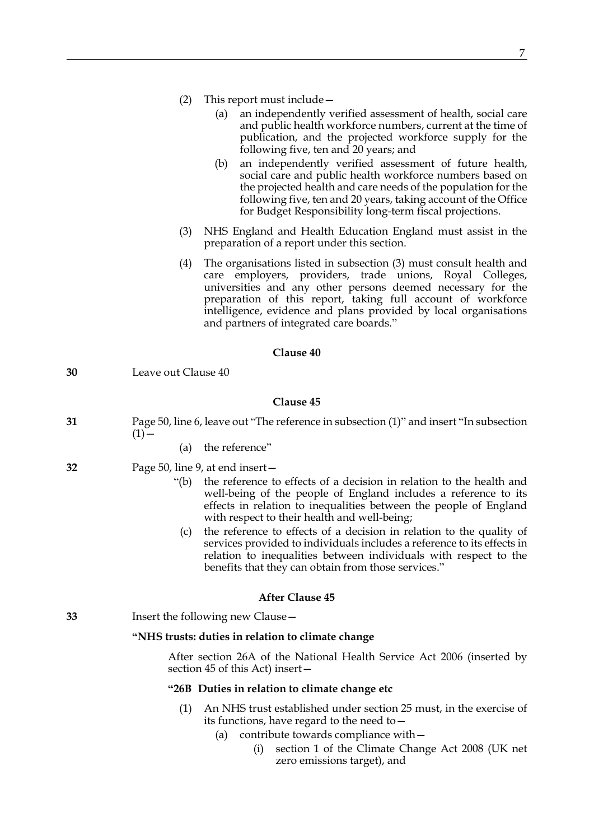|  | (2) | This report must include - |
|--|-----|----------------------------|
|--|-----|----------------------------|

- (a) an independently verified assessment of health, social care and public health workforce numbers, current at the time of publication, and the projected workforce supply for the following five, ten and 20 years; and
- (b) an independently verified assessment of future health, social care and public health workforce numbers based on the projected health and care needs of the population for the following five, ten and 20 years, taking account of the Office for Budget Responsibility long-term fiscal projections.
- (3) NHS England and Health Education England must assist in the preparation of a report under this section.
- (4) The organisations listed in subsection (3) must consult health and care employers, providers, trade unions, Royal Colleges, universities and any other persons deemed necessary for the preparation of this report, taking full account of workforce intelligence, evidence and plans provided by local organisations and partners of integrated care boards."

| 30 | Leave out Clause 40                                                                                                                                                                                                                                                                                                                                                                                                                                                                                                                                                                           |
|----|-----------------------------------------------------------------------------------------------------------------------------------------------------------------------------------------------------------------------------------------------------------------------------------------------------------------------------------------------------------------------------------------------------------------------------------------------------------------------------------------------------------------------------------------------------------------------------------------------|
|    | Clause 45                                                                                                                                                                                                                                                                                                                                                                                                                                                                                                                                                                                     |
| 31 | Page 50, line 6, leave out "The reference in subsection (1)" and insert "In subsection<br>$(1)$ –                                                                                                                                                                                                                                                                                                                                                                                                                                                                                             |
|    | the reference"<br>(a)                                                                                                                                                                                                                                                                                                                                                                                                                                                                                                                                                                         |
| 32 | Page 50, line 9, at end insert -<br>the reference to effects of a decision in relation to the health and<br>"(b)<br>well-being of the people of England includes a reference to its<br>effects in relation to inequalities between the people of England<br>with respect to their health and well-being;<br>the reference to effects of a decision in relation to the quality of<br>(c)<br>services provided to individuals includes a reference to its effects in<br>relation to inequalities between individuals with respect to the<br>benefits that they can obtain from those services." |
|    | <b>After Clause 45</b>                                                                                                                                                                                                                                                                                                                                                                                                                                                                                                                                                                        |
| 33 | Insert the following new Clause -                                                                                                                                                                                                                                                                                                                                                                                                                                                                                                                                                             |
|    | "NHS trusts: duties in relation to climate change                                                                                                                                                                                                                                                                                                                                                                                                                                                                                                                                             |
|    | After section 26A of the National Health Service Act 2006 (inserted by<br>section 45 of this Act) insert-                                                                                                                                                                                                                                                                                                                                                                                                                                                                                     |
|    | "26B Duties in relation to climate change etc                                                                                                                                                                                                                                                                                                                                                                                                                                                                                                                                                 |
|    | (1)<br>An NHS trust established under section 25 must, in the exercise of<br>its functions, have regard to the need to $-$                                                                                                                                                                                                                                                                                                                                                                                                                                                                    |

- <span id="page-6-0"></span>(a) contribute towards compliance with—
	- (i) section 1 of the Climate Change Act 2008 (UK net zero emissions target), and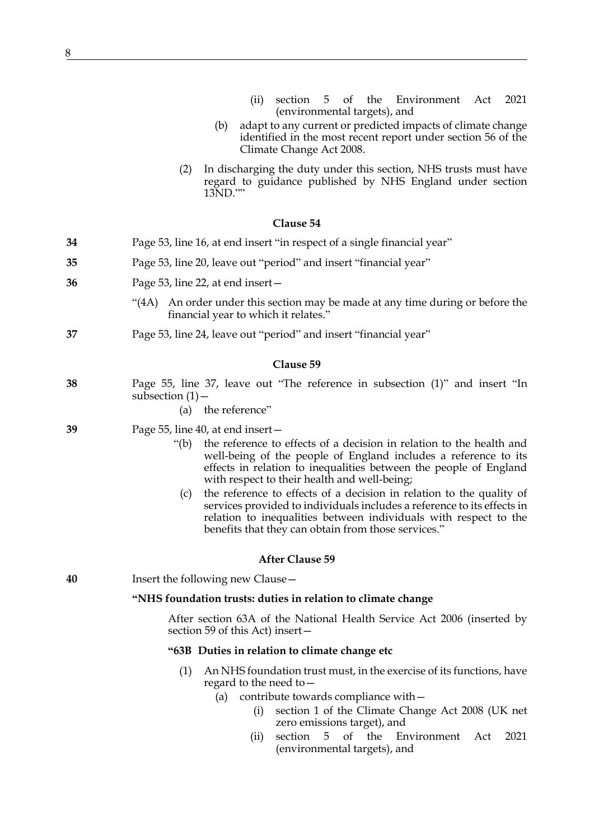- (ii) section 5 of the Environment Act 2021 (environmental targets), and
- (b) adapt to any current or predicted impacts of climate change identified in the most recent report under section 56 of the Climate Change Act 2008.
- (2) In discharging the duty under this section, NHS trusts must have regard to guidance published by NHS England under section [13ND](#page-2-0).""

- **34** Page 53, line 16, at end insert "in respect of a single financial year"
- **35** Page 53, line 20, leave out "period" and insert "financial year"
- **36** Page 53, line 22, at end insert—
	- "(4A) An order under this section may be made at any time during or before the financial year to which it relates."
- **37** Page 53, line 24, leave out "period" and insert "financial year"

#### **Clause 59**

- **38** Page 55, line 37, leave out "The reference in subsection (1)" and insert "In subsection  $(1)$  –
	- (a) the reference"
- **39** Page 55, line 40, at end insert—
	- "(b) the reference to effects of a decision in relation to the health and well-being of the people of England includes a reference to its effects in relation to inequalities between the people of England with respect to their health and well-being;
		- (c) the reference to effects of a decision in relation to the quality of services provided to individuals includes a reference to its effects in relation to inequalities between individuals with respect to the benefits that they can obtain from those services."

#### **After Clause 59**

**40** Insert the following new Clause—

### **"NHS foundation trusts: duties in relation to climate change**

After section 63A of the National Health Service Act 2006 (inserted by section 59 of this Act) insert—

## <span id="page-7-0"></span>**"63B Duties in relation to climate change etc**

- (1) An NHS foundation trust must, in the exercise of its functions, have regard to the need to—
	- (a) contribute towards compliance with—
		- (i) section 1 of the Climate Change Act 2008 (UK net zero emissions target), and
		- (ii) section 5 of the Environment Act 2021 (environmental targets), and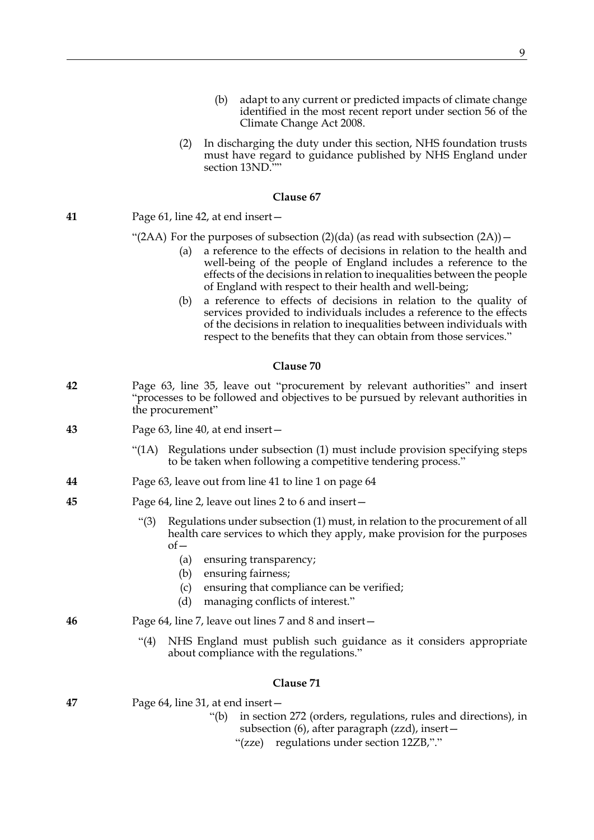(2) In discharging the duty under this section, NHS foundation trusts must have regard to guidance published by NHS England under section [13ND.](#page-2-0)""

## **Clause 67**

# **41** Page 61, line 42, at end insert—

## "(2AA) For the purposes of subsection  $(2)(da)$  (as read with subsection  $(2A)$ ) –

- (a) a reference to the effects of decisions in relation to the health and well-being of the people of England includes a reference to the effects of the decisions in relation to inequalities between the people of England with respect to their health and well-being;
- (b) a reference to effects of decisions in relation to the quality of services provided to individuals includes a reference to the effects of the decisions in relation to inequalities between individuals with respect to the benefits that they can obtain from those services."

## **Clause 70**

- **42** Page 63, line 35, leave out "procurement by relevant authorities" and insert "processes to be followed and objectives to be pursued by relevant authorities in the procurement"
- **43** Page 63, line 40, at end insert—
	- "(1A) Regulations under subsection (1) must include provision specifying steps to be taken when following a competitive tendering process."
- **44** Page 63, leave out from line 41 to line 1 on page 64
- **45** Page 64, line 2, leave out lines 2 to 6 and insert—
	- "(3) Regulations under subsection (1) must, in relation to the procurement of all health care services to which they apply, make provision for the purposes  $of$ 
		- (a) ensuring transparency;
		- (b) ensuring fairness;
		- (c) ensuring that compliance can be verified;
		- (d) managing conflicts of interest."
- **46** Page 64, line 7, leave out lines 7 and 8 and insert—
	- "(4) NHS England must publish such guidance as it considers appropriate about compliance with the regulations."

## **Clause 71**

| 47 | Page 64, line 31, at end insert- |  |  |
|----|----------------------------------|--|--|
|    |                                  |  |  |

- "(b) in section 272 (orders, regulations, rules and directions), in subsection (6), after paragraph (zzd), insert—
	- "(zze) regulations under section 12ZB,"."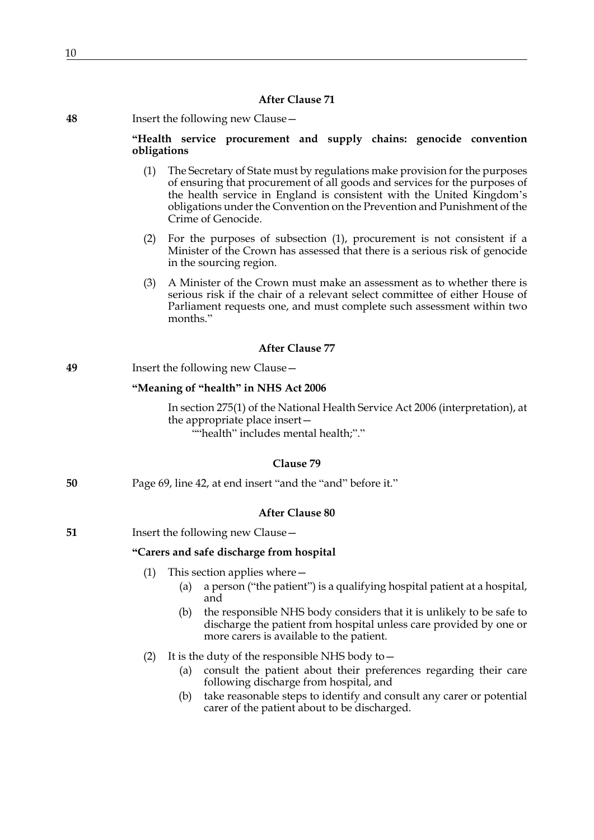## **After Clause 71**

| 48 | Insert the following new Clause - |
|----|-----------------------------------|
|----|-----------------------------------|

## **"Health service procurement and supply chains: genocide convention obligations**

- (1) The Secretary of State must by regulations make provision for the purposes of ensuring that procurement of all goods and services for the purposes of the health service in England is consistent with the United Kingdom's obligations under the Convention on the Prevention and Punishment of the Crime of Genocide.
- (2) For the purposes of subsection (1), procurement is not consistent if a Minister of the Crown has assessed that there is a serious risk of genocide in the sourcing region.
- (3) A Minister of the Crown must make an assessment as to whether there is serious risk if the chair of a relevant select committee of either House of Parliament requests one, and must complete such assessment within two months."

## **After Clause 77**

| 49 |  |  | Insert the following new Clause - |
|----|--|--|-----------------------------------|
|----|--|--|-----------------------------------|

## **"Meaning of "health" in NHS Act 2006**

In section 275(1) of the National Health Service Act 2006 (interpretation), at the appropriate place insert— ""health" includes mental health;"."

## **Clause 79**

**50** Page 69, line 42, at end insert "and the "and" before it."

## **After Clause 80**

**51** Insert the following new Clause –

## **"Carers and safe discharge from hospital**

- (1) This section applies where—
	- (a) a person ("the patient") is a qualifying hospital patient at a hospital, and
	- (b) the responsible NHS body considers that it is unlikely to be safe to discharge the patient from hospital unless care provided by one or more carers is available to the patient.
- (2) It is the duty of the responsible NHS body to—
	- (a) consult the patient about their preferences regarding their care following discharge from hospital, and
	- (b) take reasonable steps to identify and consult any carer or potential carer of the patient about to be discharged.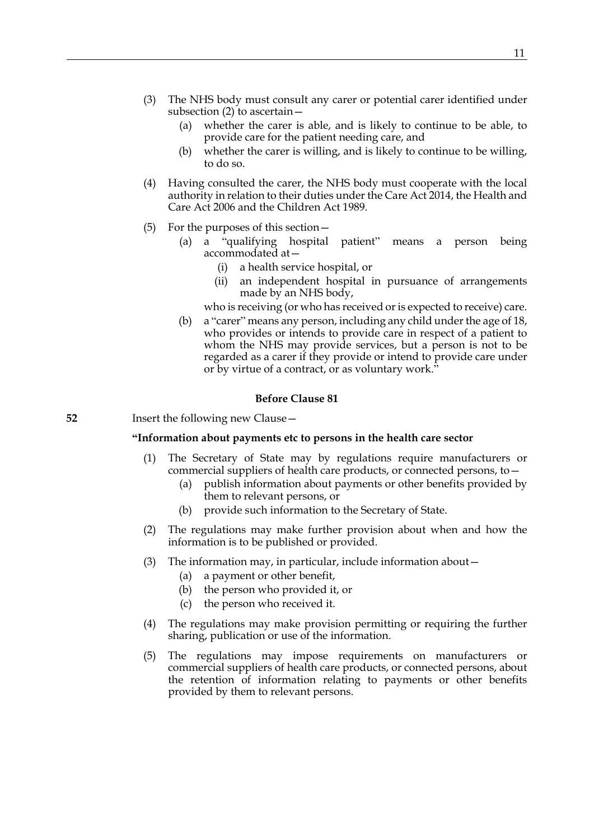- (3) The NHS body must consult any carer or potential carer identified under subsection (2) to ascertain—
	- (a) whether the carer is able, and is likely to continue to be able, to provide care for the patient needing care, and
	- (b) whether the carer is willing, and is likely to continue to be willing, to do so.
- (4) Having consulted the carer, the NHS body must cooperate with the local authority in relation to their duties under the Care Act 2014, the Health and Care Act 2006 and the Children Act 1989.
- (5) For the purposes of this section—
	- (a) a "qualifying hospital patient" means a person being accommodated at—
		- (i) a health service hospital, or
		- (ii) an independent hospital in pursuance of arrangements made by an NHS body,

who is receiving (or who has received or is expected to receive) care.

(b) a "carer" means any person, including any child under the age of 18, who provides or intends to provide care in respect of a patient to whom the NHS may provide services, but a person is not to be regarded as a carer if they provide or intend to provide care under or by virtue of a contract, or as voluntary work."

## **Before Clause 81**

**52** Insert the following new Clause—

#### **"Information about payments etc to persons in the health care sector**

- <span id="page-10-0"></span>(1) The Secretary of State may by regulations require manufacturers or commercial suppliers of health care products, or connected persons, to—
	- (a) publish information about payments or other benefits provided by them to relevant persons, or
	- (b) provide such information to the Secretary of State.
- (2) The regulations may make further provision about when and how the information is to be published or provided.
- (3) The information may, in particular, include information about—
	- (a) a payment or other benefit,
	- (b) the person who provided it, or
	- (c) the person who received it.
- (4) The regulations may make provision permitting or requiring the further sharing, publication or use of the information.
- (5) The regulations may impose requirements on manufacturers or commercial suppliers of health care products, or connected persons, about the retention of information relating to payments or other benefits provided by them to relevant persons.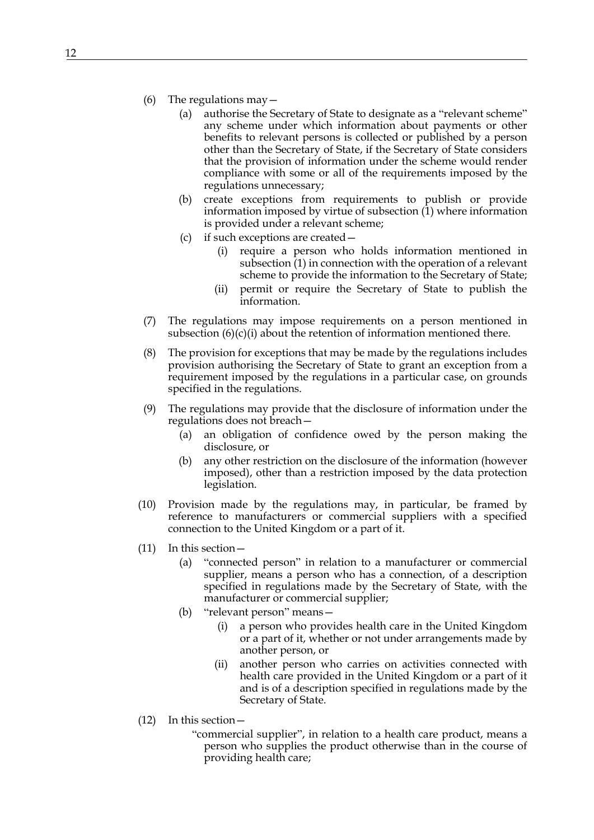- (6) The regulations may—
	- (a) authorise the Secretary of State to designate as a "relevant scheme" any scheme under which information about payments or other benefits to relevant persons is collected or published by a person other than the Secretary of State, if the Secretary of State considers that the provision of information under the scheme would render compliance with some or all of the requirements imposed by the regulations unnecessary;
	- (b) create exceptions from requirements to publish or provide information imposed by virtue of subsection [\(1\)](#page-10-0) where information is provided under a relevant scheme;
	- (c) if such exceptions are created—
		- (i) require a person who holds information mentioned in subsection [\(1\)](#page-10-0) in connection with the operation of a relevant scheme to provide the information to the Secretary of State;
		- (ii) permit or require the Secretary of State to publish the information.
- <span id="page-11-0"></span>(7) The regulations may impose requirements on a person mentioned in subsection  $(6)(c)(i)$  about the retention of information mentioned there.
- (8) The provision for exceptions that may be made by the regulations includes provision authorising the Secretary of State to grant an exception from a requirement imposed by the regulations in a particular case, on grounds specified in the regulations.
- (9) The regulations may provide that the disclosure of information under the regulations does not breach—
	- (a) an obligation of confidence owed by the person making the disclosure, or
	- (b) any other restriction on the disclosure of the information (however imposed), other than a restriction imposed by the data protection legislation.
- (10) Provision made by the regulations may, in particular, be framed by reference to manufacturers or commercial suppliers with a specified connection to the United Kingdom or a part of it.
- (11) In this section—
	- (a) "connected person" in relation to a manufacturer or commercial supplier, means a person who has a connection, of a description specified in regulations made by the Secretary of State, with the manufacturer or commercial supplier;
	- (b) "relevant person" means—
		- (i) a person who provides health care in the United Kingdom or a part of it, whether or not under arrangements made by another person, or
		- (ii) another person who carries on activities connected with health care provided in the United Kingdom or a part of it and is of a description specified in regulations made by the Secretary of State.
- (12) In this section—
	- "commercial supplier", in relation to a health care product, means a person who supplies the product otherwise than in the course of providing health care;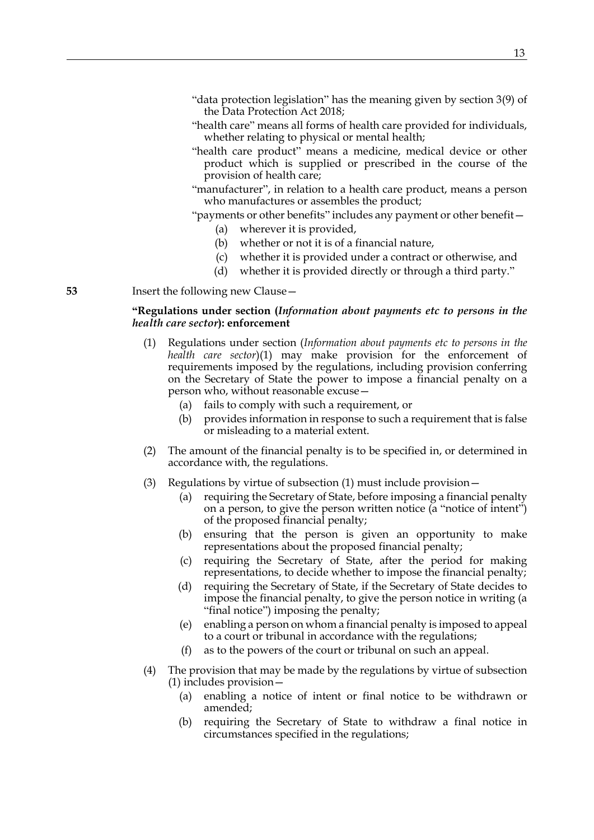- "health care" means all forms of health care provided for individuals, whether relating to physical or mental health;
- "health care product" means a medicine, medical device or other product which is supplied or prescribed in the course of the provision of health care;
- "manufacturer", in relation to a health care product, means a person who manufactures or assembles the product;

"payments or other benefits" includes any payment or other benefit—

- (a) wherever it is provided,
- (b) whether or not it is of a financial nature,
- (c) whether it is provided under a contract or otherwise, and
- (d) whether it is provided directly or through a third party."

**53** Insert the following new Clause—

## **"Regulations under section (***Information about payments etc to persons in the health care sector***): enforcement**

- <span id="page-12-0"></span>(1) Regulations under section (*Information about payments etc to persons in the health care sector*[\)\(1\)](#page-10-0) may make provision for the enforcement of requirements imposed by the regulations, including provision conferring on the Secretary of State the power to impose a financial penalty on a person who, without reasonable excuse—
	- (a) fails to comply with such a requirement, or
	- (b) provides information in response to such a requirement that is false or misleading to a material extent.
- (2) The amount of the financial penalty is to be specified in, or determined in accordance with, the regulations.
- (3) Regulations by virtue of subsection [\(1\)](#page-12-0) must include provision—
	- (a) requiring the Secretary of State, before imposing a financial penalty on a person, to give the person written notice (a "notice of intent") of the proposed financial penalty;
	- (b) ensuring that the person is given an opportunity to make representations about the proposed financial penalty;
	- (c) requiring the Secretary of State, after the period for making representations, to decide whether to impose the financial penalty;
	- (d) requiring the Secretary of State, if the Secretary of State decides to impose the financial penalty, to give the person notice in writing (a "final notice") imposing the penalty;
	- (e) enabling a person on whom a financial penalty is imposed to appeal to a court or tribunal in accordance with the regulations;
	- (f) as to the powers of the court or tribunal on such an appeal.
- (4) The provision that may be made by the regulations by virtue of subsection [\(1\)](#page-12-0) includes provision—
	- (a) enabling a notice of intent or final notice to be withdrawn or amended;
	- (b) requiring the Secretary of State to withdraw a final notice in circumstances specified in the regulations;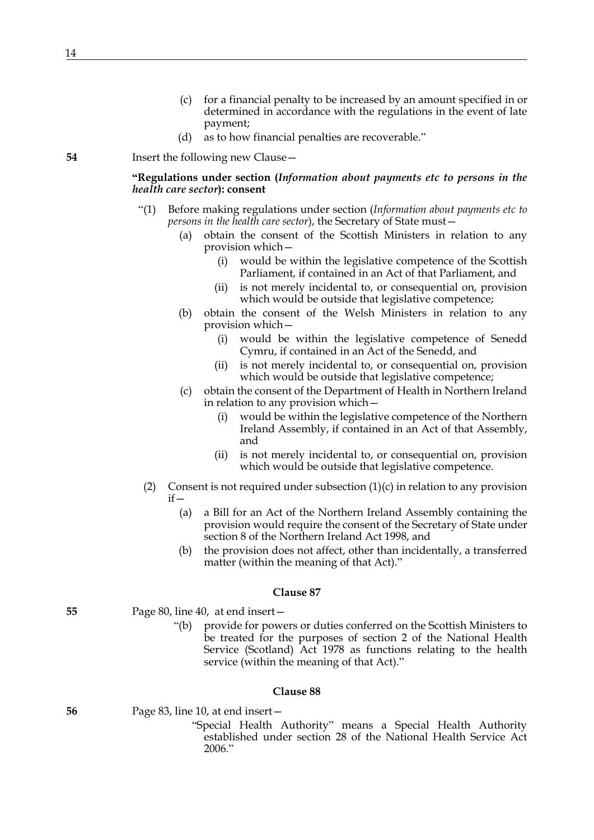- (c) for a financial penalty to be increased by an amount specified in or determined in accordance with the regulations in the event of late payment;
- (d) as to how financial penalties are recoverable."

**"Regulations under section (***Information about payments etc to persons in the health care sector***): consent**

- "(1) Before making regulations under section (*Information about payments etc to persons in the health care sector*), the Secretary of State must—
	- (a) obtain the consent of the Scottish Ministers in relation to any provision which—
		- (i) would be within the legislative competence of the Scottish Parliament, if contained in an Act of that Parliament, and
		- (ii) is not merely incidental to, or consequential on, provision which would be outside that legislative competence;
	- (b) obtain the consent of the Welsh Ministers in relation to any provision which—
		- (i) would be within the legislative competence of Senedd Cymru, if contained in an Act of the Senedd, and
		- (ii) is not merely incidental to, or consequential on, provision which would be outside that legislative competence;
	- (c) obtain the consent of the Department of Health in Northern Ireland in relation to any provision which—
		- (i) would be within the legislative competence of the Northern Ireland Assembly, if contained in an Act of that Assembly, and
		- (ii) is not merely incidental to, or consequential on, provision which would be outside that legislative competence.
- <span id="page-13-0"></span>(2) Consent is not required under subsection  $(1)(c)$  in relation to any provision  $if -$ 
	- (a) a Bill for an Act of the Northern Ireland Assembly containing the provision would require the consent of the Secretary of State under section 8 of the Northern Ireland Act 1998, and
	- (b) the provision does not affect, other than incidentally, a transferred matter (within the meaning of that Act)."

#### **Clause 87**

- **55** Page 80, line 40, at end insert—
	- "(b) provide for powers or duties conferred on the Scottish Ministers to be treated for the purposes of section 2 of the National Health Service (Scotland) Act 1978 as functions relating to the health service (within the meaning of that Act)."

#### **Clause 88**

**56** Page 83, line 10, at end insert—

"Special Health Authority" means a Special Health Authority established under section 28 of the National Health Service Act 2006."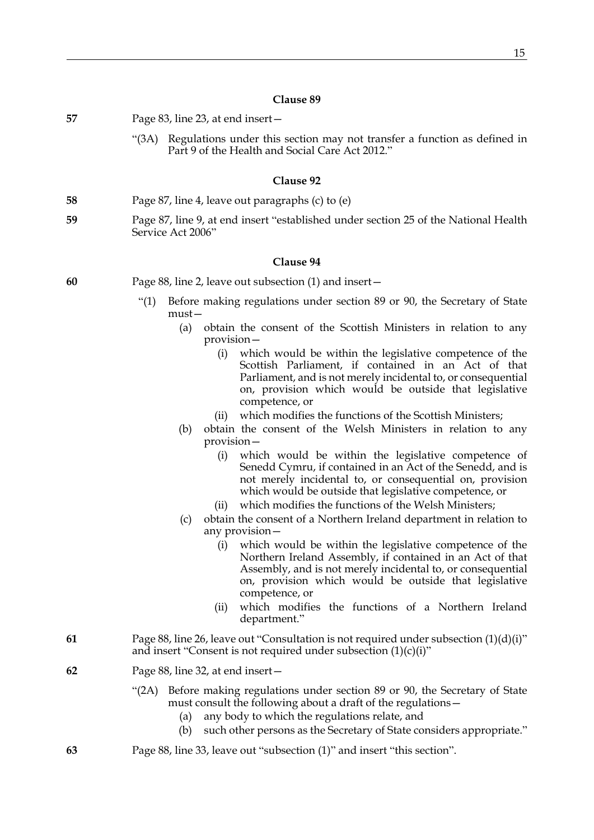| 57 | Page 83, line 23, at end insert –                                                                                                                                                                                                                                                                                                                               |
|----|-----------------------------------------------------------------------------------------------------------------------------------------------------------------------------------------------------------------------------------------------------------------------------------------------------------------------------------------------------------------|
|    | "(3A) Regulations under this section may not transfer a function as defined in<br>Part 9 of the Health and Social Care Act 2012."                                                                                                                                                                                                                               |
|    | Clause 92                                                                                                                                                                                                                                                                                                                                                       |
| 58 | Page 87, line 4, leave out paragraphs (c) to (e)                                                                                                                                                                                                                                                                                                                |
| 59 | Page 87, line 9, at end insert "established under section 25 of the National Health<br>Service Act 2006"                                                                                                                                                                                                                                                        |
|    | Clause 94                                                                                                                                                                                                                                                                                                                                                       |
| 60 | Page 88, line 2, leave out subsection (1) and insert –                                                                                                                                                                                                                                                                                                          |
|    | Before making regulations under section 89 or 90, the Secretary of State<br>$\cdot$ (1)<br>$must -$                                                                                                                                                                                                                                                             |
|    | obtain the consent of the Scottish Ministers in relation to any<br>(a)<br>provision –                                                                                                                                                                                                                                                                           |
|    | which would be within the legislative competence of the<br>(i)<br>Scottish Parliament, if contained in an Act of that<br>Parliament, and is not merely incidental to, or consequential<br>on, provision which would be outside that legislative<br>competence, or                                                                                               |
|    | which modifies the functions of the Scottish Ministers;<br>(ii)<br>obtain the consent of the Welsh Ministers in relation to any<br>(b)<br>$provision-$                                                                                                                                                                                                          |
|    | which would be within the legislative competence of<br>(i)<br>Senedd Cymru, if contained in an Act of the Senedd, and is<br>not merely incidental to, or consequential on, provision<br>which would be outside that legislative competence, or                                                                                                                  |
|    | which modifies the functions of the Welsh Ministers;<br>(ii)<br>obtain the consent of a Northern Ireland department in relation to<br>(c)<br>any provision-                                                                                                                                                                                                     |
|    | which would be within the legislative competence of the<br>$\left(1\right)$<br>Northern Ireland Assembly, if contained in an Act of that<br>Assembly, and is not merely incidental to, or consequential<br>on, provision which would be outside that legislative<br>competence, or<br>which modifies the functions of a Northern Ireland<br>(i)<br>department." |
| 61 | Page 88, line 26, leave out "Consultation is not required under subsection $(1)(d)(i)$ "<br>and insert "Consent is not required under subsection $(1)(c)(i)$ "                                                                                                                                                                                                  |
| 62 | Page 88, line 32, at end insert –                                                                                                                                                                                                                                                                                                                               |
|    | Before making regulations under section 89 or 90, the Secretary of State<br>" $(2A)$<br>must consult the following about a draft of the regulations –<br>any body to which the regulations relate, and<br>(a)<br>such other persons as the Secretary of State considers appropriate."<br>(b)                                                                    |
| 63 | Page 88, line 33, leave out "subsection (1)" and insert "this section".                                                                                                                                                                                                                                                                                         |
|    |                                                                                                                                                                                                                                                                                                                                                                 |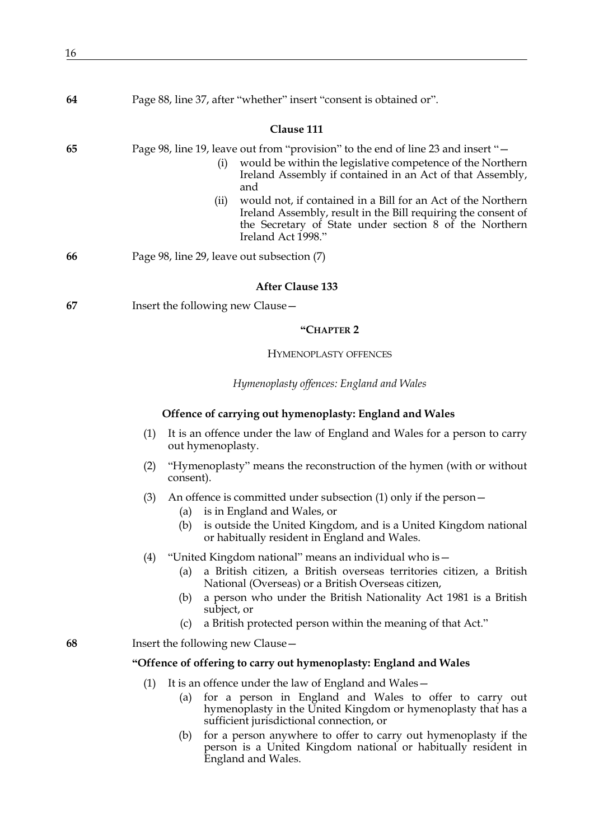| 64 | Page 88, line 37, after "whether" insert "consent is obtained or".                                                                                                                                                                                                                                                                                                 |  |  |
|----|--------------------------------------------------------------------------------------------------------------------------------------------------------------------------------------------------------------------------------------------------------------------------------------------------------------------------------------------------------------------|--|--|
|    | Clause 111                                                                                                                                                                                                                                                                                                                                                         |  |  |
| 65 | Page 98, line 19, leave out from "provision" to the end of line 23 and insert "<br>would be within the legislative competence of the Northern<br>(i)<br>Ireland Assembly if contained in an Act of that Assembly,<br>and                                                                                                                                           |  |  |
|    | would not, if contained in a Bill for an Act of the Northern<br>(ii)<br>Ireland Assembly, result in the Bill requiring the consent of<br>the Secretary of State under section 8 of the Northern<br>Ireland Act 1998."                                                                                                                                              |  |  |
| 66 | Page 98, line 29, leave out subsection (7)                                                                                                                                                                                                                                                                                                                         |  |  |
|    | <b>After Clause 133</b>                                                                                                                                                                                                                                                                                                                                            |  |  |
| 67 | Insert the following new Clause -                                                                                                                                                                                                                                                                                                                                  |  |  |
|    | "CHAPTER <sub>2</sub>                                                                                                                                                                                                                                                                                                                                              |  |  |
|    | <b>HYMENOPLASTY OFFENCES</b>                                                                                                                                                                                                                                                                                                                                       |  |  |
|    | Hymenoplasty offences: England and Wales                                                                                                                                                                                                                                                                                                                           |  |  |
|    | Offence of carrying out hymenoplasty: England and Wales                                                                                                                                                                                                                                                                                                            |  |  |
|    | (1)<br>It is an offence under the law of England and Wales for a person to carry<br>out hymenoplasty.                                                                                                                                                                                                                                                              |  |  |
|    | "Hymenoplasty" means the reconstruction of the hymen (with or without<br>(2)<br>consent).                                                                                                                                                                                                                                                                          |  |  |
|    | An offence is committed under subsection $(1)$ only if the person $-$<br>(3)<br>is in England and Wales, or<br>(a)<br>is outside the United Kingdom, and is a United Kingdom national<br>(b)<br>or habitually resident in England and Wales.                                                                                                                       |  |  |
|    | "United Kingdom national" means an individual who is -<br>(4)<br>a British citizen, a British overseas territories citizen, a British<br>(a)<br>National (Overseas) or a British Overseas citizen,<br>a person who under the British Nationality Act 1981 is a British<br>(b)<br>subject, or<br>a British protected person within the meaning of that Act."<br>(c) |  |  |
| 68 | Insert the following new Clause –                                                                                                                                                                                                                                                                                                                                  |  |  |
|    | "Offence of offering to carry out hymenoplasty: England and Wales                                                                                                                                                                                                                                                                                                  |  |  |
|    | It is an offence under the law of England and Wales-<br>(1)                                                                                                                                                                                                                                                                                                        |  |  |
|    | for a person in England and Wales to offer to carry out<br>(a)<br>hymenoplasty in the United Kingdom or hymenoplasty that has a<br>sufficient jurisdictional connection, or                                                                                                                                                                                        |  |  |
|    | (b) for a person anywhere to offer to carry out hymenoplasty if the                                                                                                                                                                                                                                                                                                |  |  |

<span id="page-15-2"></span><span id="page-15-1"></span><span id="page-15-0"></span>(b) for a person anywhere to offer to carry out hymenoplasty if the person is a United Kingdom national or habitually resident in England and Wales.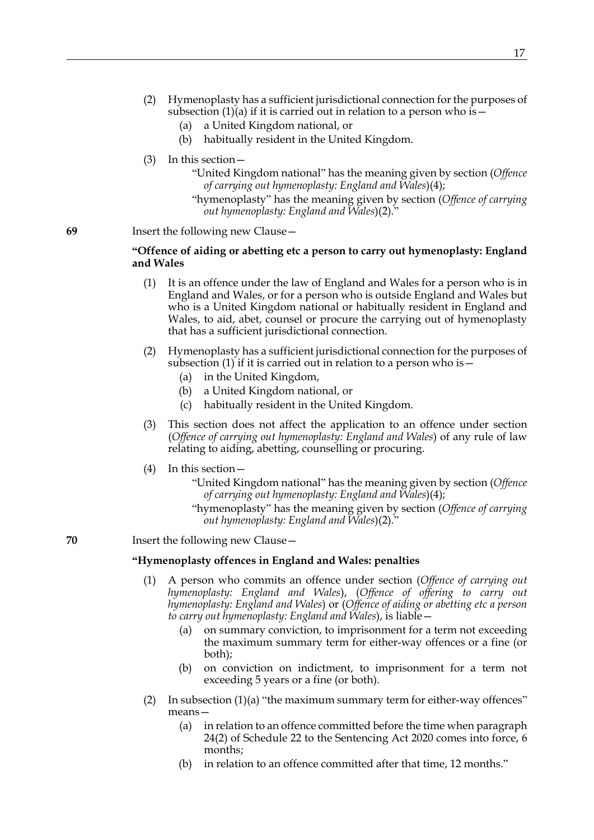- (2) Hymenoplasty has a sufficient jurisdictional connection for the purposes of subsection  $(1)(a)$  if it is carried out in relation to a person who is  $-$ 
	- (a) a United Kingdom national, or
	- (b) habitually resident in the United Kingdom.
- (3) In this section—
	- "United Kingdom national" has the meaning given by section (*Offence of carrying out hymenoplasty: England and Wales*)[\(4\);](#page-15-1)
	- "hymenoplasty" has the meaning given by section (*Offence of carrying out hymenoplasty: England and Wales*[\)\(2\)](#page-15-2)."

## **"Offence of aiding or abetting etc a person to carry out hymenoplasty: England and Wales**

- (1) It is an offence under the law of England and Wales for a person who is in England and Wales, or for a person who is outside England and Wales but who is a United Kingdom national or habitually resident in England and Wales, to aid, abet, counsel or procure the carrying out of hymenoplasty that has a sufficient jurisdictional connection.
- (2) Hymenoplasty has a sufficient jurisdictional connection for the purposes of subsection (1) if it is carried out in relation to a person who is  $-$ 
	- (a) in the United Kingdom,
	- (b) a United Kingdom national, or
	- (c) habitually resident in the United Kingdom.
- (3) This section does not affect the application to an offence under section (*Offence of carrying out hymenoplasty: England and Wales*) of any rule of law relating to aiding, abetting, counselling or procuring.
- (4) In this section—
	- "United Kingdom national" has the meaning given by section (*Offence of carrying out hymenoplasty: England and Wales*)[\(4\);](#page-15-1)
	- "hymenoplasty" has the meaning given by section (*Offence of carrying out hymenoplasty: England and Wales*[\)\(2\)](#page-15-2)."

## **70** Insert the following new Clause—

### **"Hymenoplasty offences in England and Wales: penalties**

- <span id="page-16-0"></span>(1) A person who commits an offence under section (*Offence of carrying out hymenoplasty: England and Wales*), (*Offence of offering to carry out hymenoplasty: England and Wales*) or (*Offence of aiding or abetting etc a person to carry out hymenoplasty: England and Wales*), is liable—
	- (a) on summary conviction, to imprisonment for a term not exceeding the maximum summary term for either-way offences or a fine (or both);
	- (b) on conviction on indictment, to imprisonment for a term not exceeding 5 years or a fine (or both).
- (2) In subsection  $(1)(a)$  "the maximum summary term for either-way offences" means—
	- (a) in relation to an offence committed before the time when paragraph 24(2) of Schedule 22 to the Sentencing Act 2020 comes into force, 6 months;
	- (b) in relation to an offence committed after that time, 12 months."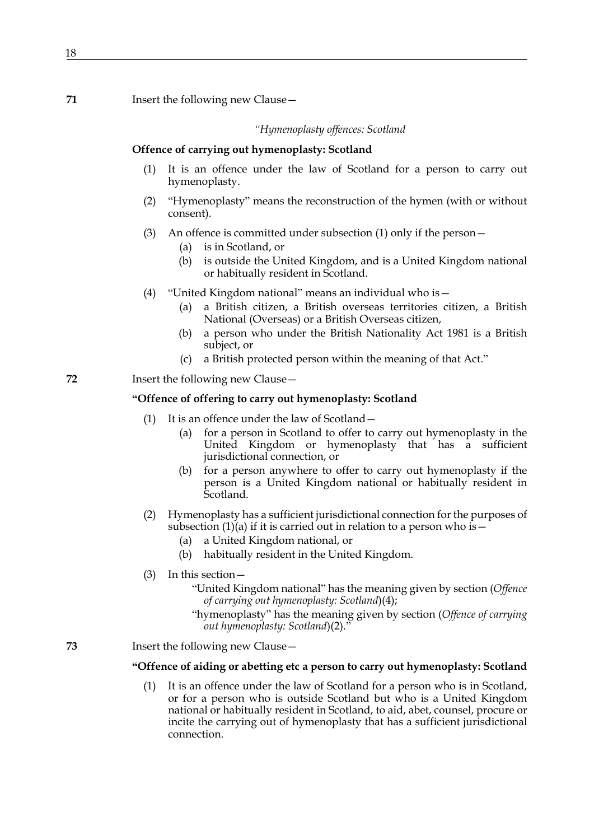#### *"Hymenoplasty offences: Scotland*

#### **Offence of carrying out hymenoplasty: Scotland**

- (1) It is an offence under the law of Scotland for a person to carry out hymenoplasty.
- (2) "Hymenoplasty" means the reconstruction of the hymen (with or without consent).
- (3) An offence is committed under subsection [\(1\)](#page-15-0) only if the person—
	- (a) is in Scotland, or
	- (b) is outside the United Kingdom, and is a United Kingdom national or habitually resident in Scotland.
- (4) "United Kingdom national" means an individual who is—
	- (a) a British citizen, a British overseas territories citizen, a British National (Overseas) or a British Overseas citizen,
	- (b) a person who under the British Nationality Act 1981 is a British subject, or
	- (c) a British protected person within the meaning of that Act."
- **72** Insert the following new Clause—

## **"Offence of offering to carry out hymenoplasty: Scotland**

- (1) It is an offence under the law of Scotland—
	- (a) for a person in Scotland to offer to carry out hymenoplasty in the United Kingdom or hymenoplasty that has a sufficient jurisdictional connection, or
	- (b) for a person anywhere to offer to carry out hymenoplasty if the person is a United Kingdom national or habitually resident in Scotland.
- (2) Hymenoplasty has a sufficient jurisdictional connection for the purposes of subsection  $(1)(a)$  if it is carried out in relation to a person who is  $-$ 
	- (a) a United Kingdom national, or
	- (b) habitually resident in the United Kingdom.
- (3) In this section—
	- "United Kingdom national" has the meaning given by section (*Offence of carrying out hymenoplasty: Scotland*)[\(4\);](#page-15-1)
	- "hymenoplasty" has the meaning given by section (*Offence of carrying out hymenoplasty: Scotland*[\)\(2\)](#page-15-2)."
- **73** Insert the following new Clause—

#### **"Offence of aiding or abetting etc a person to carry out hymenoplasty: Scotland**

(1) It is an offence under the law of Scotland for a person who is in Scotland, or for a person who is outside Scotland but who is a United Kingdom national or habitually resident in Scotland, to aid, abet, counsel, procure or incite the carrying out of hymenoplasty that has a sufficient jurisdictional connection.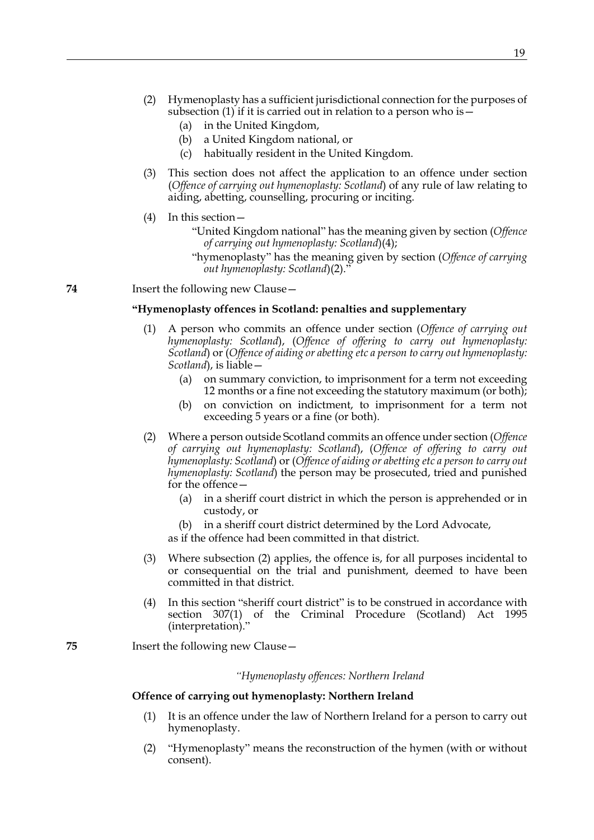- (2) Hymenoplasty has a sufficient jurisdictional connection for the purposes of subsection (1) if it is carried out in relation to a person who is—
	- (a) in the United Kingdom,
	- (b) a United Kingdom national, or
	- (c) habitually resident in the United Kingdom.
- (3) This section does not affect the application to an offence under section (*Offence of carrying out hymenoplasty: Scotland*) of any rule of law relating to aiding, abetting, counselling, procuring or inciting.
- (4) In this section—
	- "United Kingdom national" has the meaning given by section (*Offence of carrying out hymenoplasty: Scotland*)[\(4\);](#page-15-1)
	- "hymenoplasty" has the meaning given by section (*Offence of carrying out hymenoplasty: Scotland*[\)\(2\)](#page-15-2)."

## **"Hymenoplasty offences in Scotland: penalties and supplementary**

- (1) A person who commits an offence under section (*Offence of carrying out hymenoplasty: Scotland*), (*Offence of offering to carry out hymenoplasty: Scotland*) or (*Offence of aiding or abetting etc a person to carry out hymenoplasty: Scotland*), is liable—
	- (a) on summary conviction, to imprisonment for a term not exceeding 12 months or a fine not exceeding the statutory maximum (or both);
	- (b) on conviction on indictment, to imprisonment for a term not exceeding 5 years or a fine (or both).
- <span id="page-18-0"></span>(2) Where a person outside Scotland commits an offence under section (*Offence of carrying out hymenoplasty: Scotland*), (*Offence of offering to carry out hymenoplasty: Scotland*) or (*Offence of aiding or abetting etc a person to carry out hymenoplasty: Scotland*) the person may be prosecuted, tried and punished for the offence—
	- (a) in a sheriff court district in which the person is apprehended or in custody, or
	- (b) in a sheriff court district determined by the Lord Advocate,

as if the offence had been committed in that district.

- (3) Where subsection [\(2\)](#page-18-0) applies, the offence is, for all purposes incidental to or consequential on the trial and punishment, deemed to have been committed in that district.
- (4) In this section "sheriff court district" is to be construed in accordance with section 307(1) of the Criminal Procedure (Scotland) Act 1995 (interpretation)."

**75** Insert the following new Clause—

#### *"Hymenoplasty offences: Northern Ireland*

#### **Offence of carrying out hymenoplasty: Northern Ireland**

- (1) It is an offence under the law of Northern Ireland for a person to carry out hymenoplasty.
- (2) "Hymenoplasty" means the reconstruction of the hymen (with or without consent).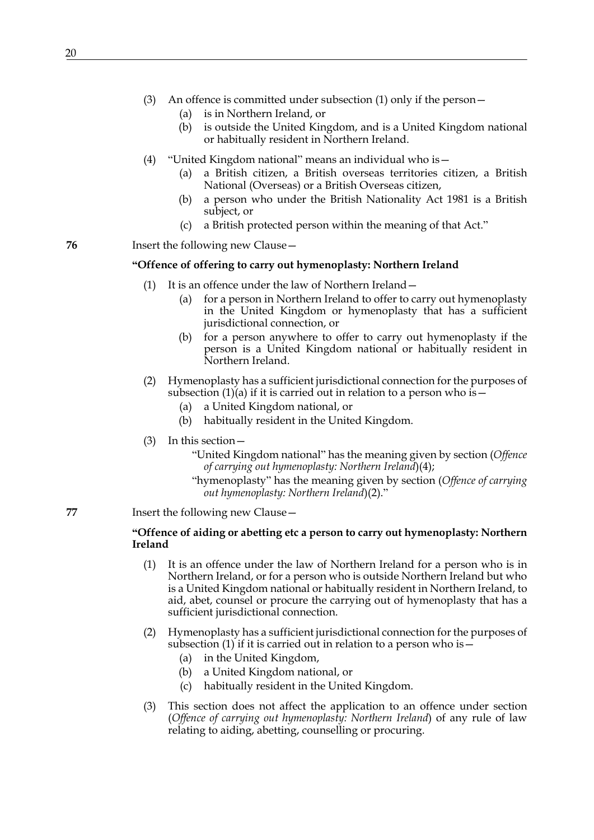- (3) An offence is committed under subsection [\(1\)](#page-15-0) only if the person—
	- (a) is in Northern Ireland, or
	- (b) is outside the United Kingdom, and is a United Kingdom national or habitually resident in Northern Ireland.
- (4) "United Kingdom national" means an individual who is—
	- (a) a British citizen, a British overseas territories citizen, a British National (Overseas) or a British Overseas citizen,
	- (b) a person who under the British Nationality Act 1981 is a British subject, or
	- (c) a British protected person within the meaning of that Act."

## **"Offence of offering to carry out hymenoplasty: Northern Ireland**

- (1) It is an offence under the law of Northern Ireland—
	- (a) for a person in Northern Ireland to offer to carry out hymenoplasty in the United Kingdom or hymenoplasty that has a sufficient jurisdictional connection, or
	- (b) for a person anywhere to offer to carry out hymenoplasty if the person is a United Kingdom national or habitually resident in Northern Ireland.
- (2) Hymenoplasty has a sufficient jurisdictional connection for the purposes of subsection  $(1)(a)$  if it is carried out in relation to a person who is –
	- (a) a United Kingdom national, or
	- (b) habitually resident in the United Kingdom.
- (3) In this section—
	- "United Kingdom national" has the meaning given by section (*Offence of carrying out hymenoplasty: Northern Ireland*[\)\(4\)](#page-15-1);
	- "hymenoplasty" has the meaning given by section (*Offence of carrying out hymenoplasty: Northern Ireland*)[\(2\).](#page-15-2)"

## **77** Insert the following new Clause—

## **"Offence of aiding or abetting etc a person to carry out hymenoplasty: Northern Ireland**

- (1) It is an offence under the law of Northern Ireland for a person who is in Northern Ireland, or for a person who is outside Northern Ireland but who is a United Kingdom national or habitually resident in Northern Ireland, to aid, abet, counsel or procure the carrying out of hymenoplasty that has a sufficient jurisdictional connection.
- (2) Hymenoplasty has a sufficient jurisdictional connection for the purposes of subsection (1) if it is carried out in relation to a person who is  $-$ 
	- (a) in the United Kingdom,
	- (b) a United Kingdom national, or
	- (c) habitually resident in the United Kingdom.
- (3) This section does not affect the application to an offence under section (*Offence of carrying out hymenoplasty: Northern Ireland*) of any rule of law relating to aiding, abetting, counselling or procuring.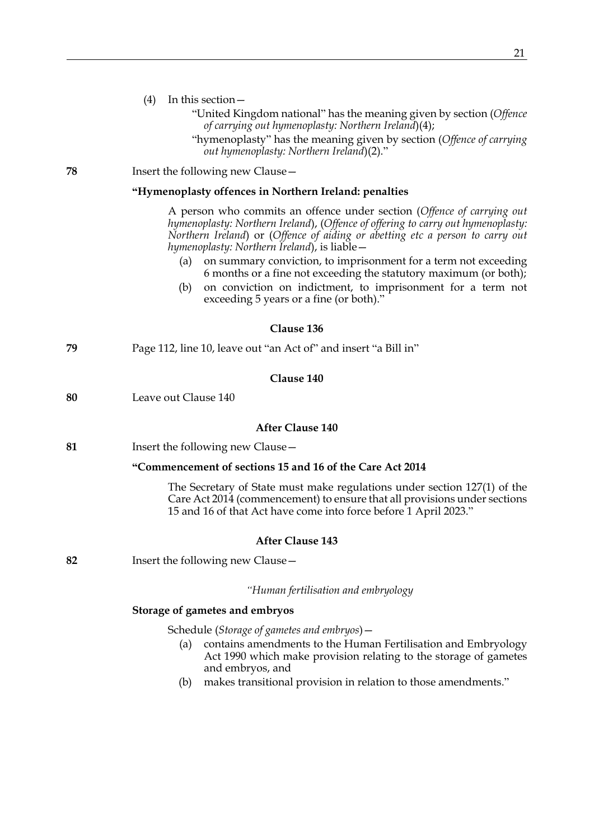|    | (4)<br>In this section -<br>"United Kingdom national" has the meaning given by section (Offence<br>of carrying out hymenoplasty: Northern Ireland)(4);<br>"hymenoplasty" has the meaning given by section (Offence of carrying<br>out hymenoplasty: Northern Ireland)(2)."                                                                                                                                                                                                                                       |
|----|------------------------------------------------------------------------------------------------------------------------------------------------------------------------------------------------------------------------------------------------------------------------------------------------------------------------------------------------------------------------------------------------------------------------------------------------------------------------------------------------------------------|
| 78 | Insert the following new Clause -                                                                                                                                                                                                                                                                                                                                                                                                                                                                                |
|    | "Hymenoplasty offences in Northern Ireland: penalties                                                                                                                                                                                                                                                                                                                                                                                                                                                            |
|    | A person who commits an offence under section (Offence of carrying out<br>hymenoplasty: Northern Ireland), (Offence of offering to carry out hymenoplasty:<br>Northern Ireland) or (Offence of aiding or abetting etc a person to carry out<br>hymenoplasty: Northern Ireland), is liable -<br>on summary conviction, to imprisonment for a term not exceeding<br>(a)<br>6 months or a fine not exceeding the statutory maximum (or both);<br>on conviction on indictment, to imprisonment for a term not<br>(b) |
|    | exceeding 5 years or a fine (or both)."                                                                                                                                                                                                                                                                                                                                                                                                                                                                          |
|    | Clause 136                                                                                                                                                                                                                                                                                                                                                                                                                                                                                                       |
| 79 | Page 112, line 10, leave out "an Act of" and insert "a Bill in"                                                                                                                                                                                                                                                                                                                                                                                                                                                  |
|    | Clause 140                                                                                                                                                                                                                                                                                                                                                                                                                                                                                                       |
| 80 | Leave out Clause 140                                                                                                                                                                                                                                                                                                                                                                                                                                                                                             |
|    | <b>After Clause 140</b>                                                                                                                                                                                                                                                                                                                                                                                                                                                                                          |
| 81 | Insert the following new Clause -                                                                                                                                                                                                                                                                                                                                                                                                                                                                                |
|    | "Commencement of sections 15 and 16 of the Care Act 2014                                                                                                                                                                                                                                                                                                                                                                                                                                                         |
|    | The Secretary of State must make regulations under section 127(1) of the<br>Care Act 2014 (commencement) to ensure that all provisions under sections<br>15 and 16 of that Act have come into force before 1 April 2023."                                                                                                                                                                                                                                                                                        |
|    | <b>After Clause 143</b>                                                                                                                                                                                                                                                                                                                                                                                                                                                                                          |
| 82 | Insert the following new Clause -                                                                                                                                                                                                                                                                                                                                                                                                                                                                                |
|    | "Human fertilisation and embryology                                                                                                                                                                                                                                                                                                                                                                                                                                                                              |
|    | Storage of gametes and embryos                                                                                                                                                                                                                                                                                                                                                                                                                                                                                   |
|    | Schedule (Storage of gametes and embryos) -<br>contains amendments to the Human Fertilisation and Embryology<br>(a)<br>Act 1990 which make provision relating to the storage of gametes<br>and embryos, and<br>makes transitional provision in relation to those amendments."<br>(b)                                                                                                                                                                                                                             |
|    |                                                                                                                                                                                                                                                                                                                                                                                                                                                                                                                  |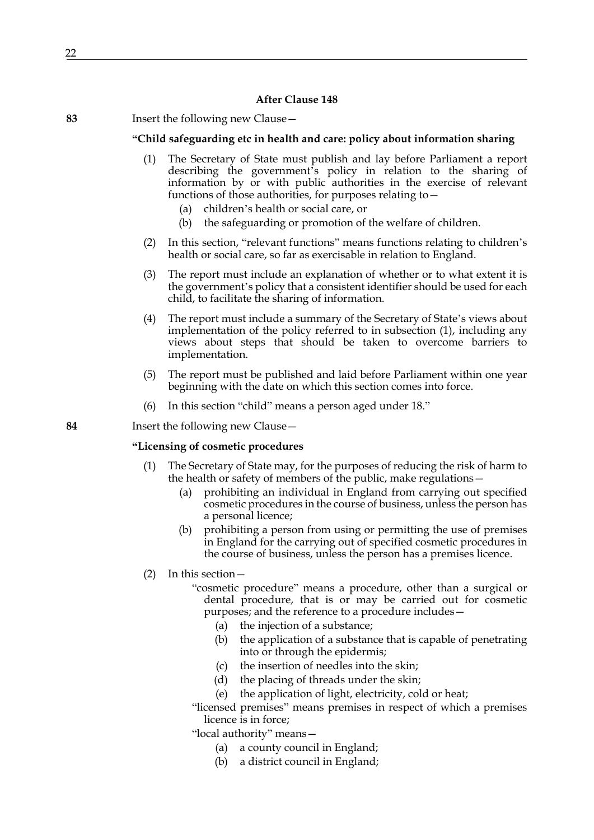## **After Clause 148**

| 83 |  | Insert the following new Clause - |  |
|----|--|-----------------------------------|--|
|----|--|-----------------------------------|--|

## **"Child safeguarding etc in health and care: policy about information sharing**

- <span id="page-21-0"></span>(1) The Secretary of State must publish and lay before Parliament a report describing the government's policy in relation to the sharing of information by or with public authorities in the exercise of relevant functions of those authorities, for purposes relating to—
	- (a) children's health or social care, or
	- (b) the safeguarding or promotion of the welfare of children.
- (2) In this section, "relevant functions" means functions relating to children's health or social care, so far as exercisable in relation to England.
- (3) The report must include an explanation of whether or to what extent it is the government's policy that a consistent identifier should be used for each child, to facilitate the sharing of information.
- (4) The report must include a summary of the Secretary of State's views about implementation of the policy referred to in subsection [\(1\),](#page-21-0) including any views about steps that should be taken to overcome barriers to implementation.
- (5) The report must be published and laid before Parliament within one year beginning with the date on which this section comes into force.
- (6) In this section "child" means a person aged under 18."

**84** Insert the following new Clause—

### **"Licensing of cosmetic procedures**

- <span id="page-21-1"></span>(1) The Secretary of State may, for the purposes of reducing the risk of harm to the health or safety of members of the public, make regulations—
	- (a) prohibiting an individual in England from carrying out specified cosmetic procedures in the course of business, unless the person has a personal licence;
	- (b) prohibiting a person from using or permitting the use of premises in England for the carrying out of specified cosmetic procedures in the course of business, unless the person has a premises licence.
- (2) In this section—
	- "cosmetic procedure" means a procedure, other than a surgical or dental procedure, that is or may be carried out for cosmetic purposes; and the reference to a procedure includes—
		- (a) the injection of a substance;
		- (b) the application of a substance that is capable of penetrating into or through the epidermis;
		- (c) the insertion of needles into the skin;
		- (d) the placing of threads under the skin;
		- (e) the application of light, electricity, cold or heat;
	- "licensed premises" means premises in respect of which a premises licence is in force;
	- "local authority" means—
		- (a) a county council in England;
		- (b) a district council in England;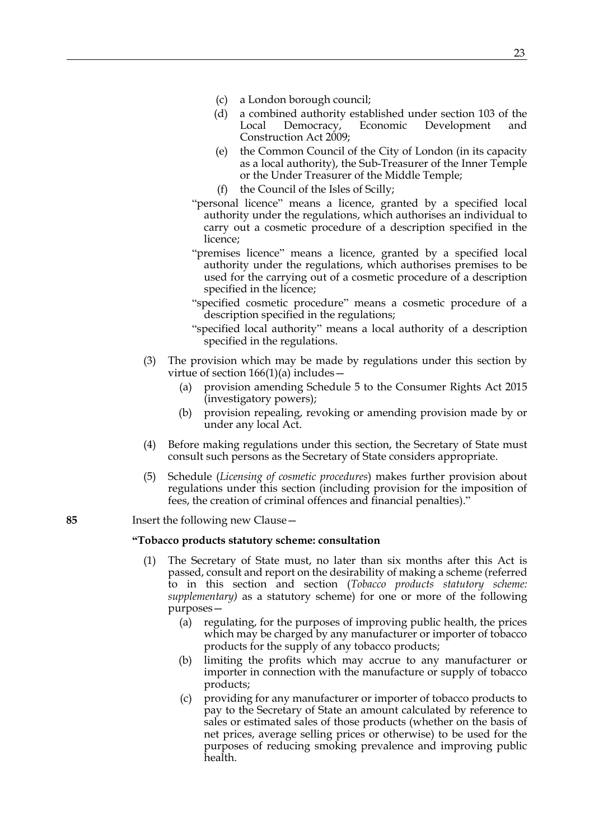- (c) a London borough council;
- (d) a combined authority established under section 103 of the Local Democracy, Economic Development and Construction Act 2009;
- (e) the Common Council of the City of London (in its capacity as a local authority), the Sub-Treasurer of the Inner Temple or the Under Treasurer of the Middle Temple;
- (f) the Council of the Isles of Scilly;
- "personal licence" means a licence, granted by a specified local authority under the regulations, which authorises an individual to carry out a cosmetic procedure of a description specified in the licence;
- "premises licence" means a licence, granted by a specified local authority under the regulations, which authorises premises to be used for the carrying out of a cosmetic procedure of a description specified in the licence;
- "specified cosmetic procedure" means a cosmetic procedure of a description specified in the regulations;
- "specified local authority" means a local authority of a description specified in the regulations.
- (3) The provision which may be made by regulations under this section by virtue of section 166(1)(a) includes—
	- (a) provision amending Schedule 5 to the Consumer Rights Act 2015 (investigatory powers);
	- (b) provision repealing, revoking or amending provision made by or under any local Act.
- (4) Before making regulations under this section, the Secretary of State must consult such persons as the Secretary of State considers appropriate.
- (5) Schedule (*Licensing of cosmetic procedures*) makes further provision about regulations under this section (including provision for the imposition of fees, the creation of criminal offences and financial penalties)."

#### **"Tobacco products statutory scheme: consultation**

- (1) The Secretary of State must, no later than six months after this Act is passed, consult and report on the desirability of making a scheme (referred to in this section and section (*Tobacco products statutory scheme: supplementary)* as a statutory scheme) for one or more of the following purposes—
	- (a) regulating, for the purposes of improving public health, the prices which may be charged by any manufacturer or importer of tobacco products for the supply of any tobacco products;
	- (b) limiting the profits which may accrue to any manufacturer or importer in connection with the manufacture or supply of tobacco products;
	- (c) providing for any manufacturer or importer of tobacco products to pay to the Secretary of State an amount calculated by reference to sales or estimated sales of those products (whether on the basis of net prices, average selling prices or otherwise) to be used for the purposes of reducing smoking prevalence and improving public health.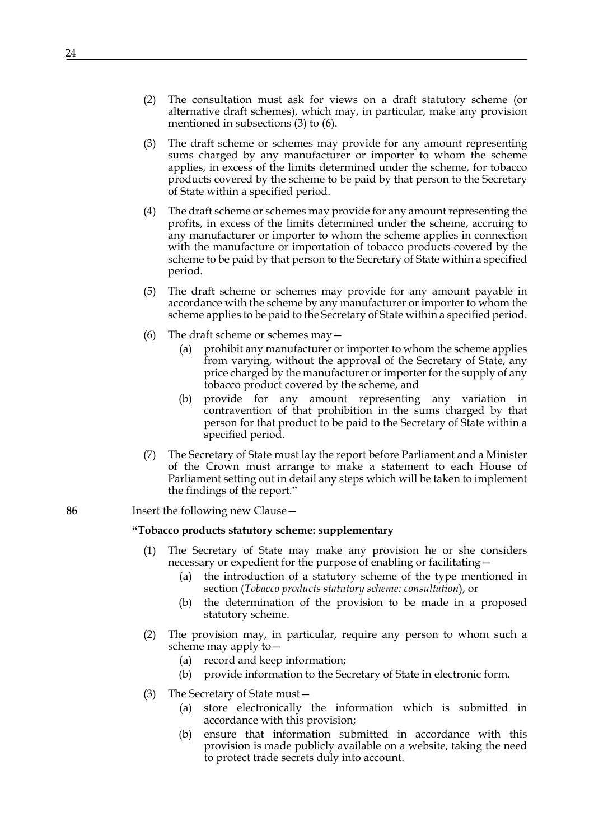- (2) The consultation must ask for views on a draft statutory scheme (or alternative draft schemes), which may, in particular, make any provision mentioned in subsections (3) to (6).
- (3) The draft scheme or schemes may provide for any amount representing sums charged by any manufacturer or importer to whom the scheme applies, in excess of the limits determined under the scheme, for tobacco products covered by the scheme to be paid by that person to the Secretary of State within a specified period.
- (4) The draft scheme or schemes may provide for any amount representing the profits, in excess of the limits determined under the scheme, accruing to any manufacturer or importer to whom the scheme applies in connection with the manufacture or importation of tobacco products covered by the scheme to be paid by that person to the Secretary of State within a specified period.
- (5) The draft scheme or schemes may provide for any amount payable in accordance with the scheme by any manufacturer or importer to whom the scheme applies to be paid to the Secretary of State within a specified period.
- (6) The draft scheme or schemes may—
	- (a) prohibit any manufacturer or importer to whom the scheme applies from varying, without the approval of the Secretary of State, any price charged by the manufacturer or importer for the supply of any tobacco product covered by the scheme, and
	- (b) provide for any amount representing any variation in contravention of that prohibition in the sums charged by that person for that product to be paid to the Secretary of State within a specified period.
- (7) The Secretary of State must lay the report before Parliament and a Minister of the Crown must arrange to make a statement to each House of Parliament setting out in detail any steps which will be taken to implement the findings of the report."

## **"Tobacco products statutory scheme: supplementary**

- The Secretary of State may make any provision he or she considers necessary or expedient for the purpose of enabling or facilitating—
	- (a) the introduction of a statutory scheme of the type mentioned in section (*Tobacco products statutory scheme: consultation*), or
	- (b) the determination of the provision to be made in a proposed statutory scheme.
- (2) The provision may, in particular, require any person to whom such a scheme may apply to—
	- (a) record and keep information;
	- (b) provide information to the Secretary of State in electronic form.
- (3) The Secretary of State must—
	- (a) store electronically the information which is submitted in accordance with this provision;
	- (b) ensure that information submitted in accordance with this provision is made publicly available on a website, taking the need to protect trade secrets duly into account.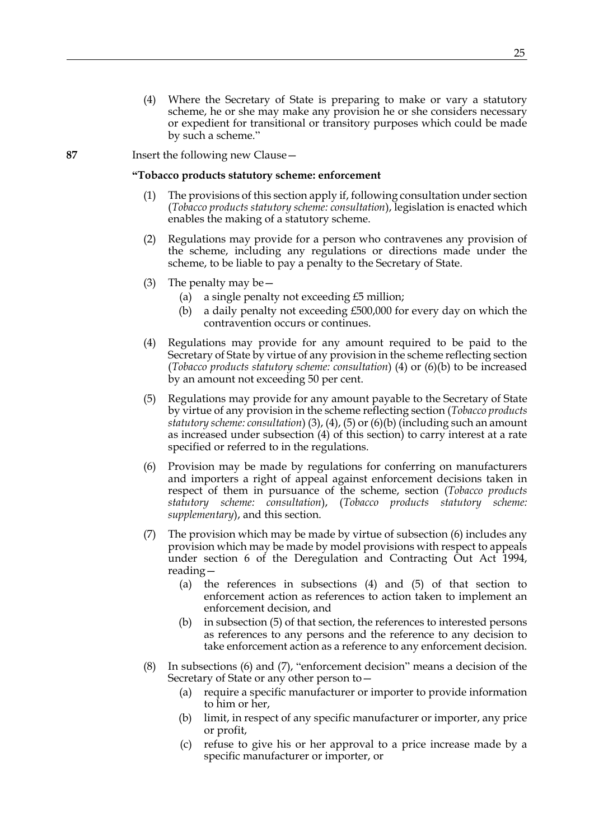#### **"Tobacco products statutory scheme: enforcement**

- (1) The provisions of this section apply if, following consultation under section (*Tobacco products statutory scheme: consultation*), legislation is enacted which enables the making of a statutory scheme.
- (2) Regulations may provide for a person who contravenes any provision of the scheme, including any regulations or directions made under the scheme, to be liable to pay a penalty to the Secretary of State.
- (3) The penalty may be—
	- (a) a single penalty not exceeding  $£5$  million;
	- (b) a daily penalty not exceeding £500,000 for every day on which the contravention occurs or continues.
- (4) Regulations may provide for any amount required to be paid to the Secretary of State by virtue of any provision in the scheme reflecting section (*Tobacco products statutory scheme: consultation*) (4) or (6)(b) to be increased by an amount not exceeding 50 per cent.
- (5) Regulations may provide for any amount payable to the Secretary of State by virtue of any provision in the scheme reflecting section (*Tobacco products statutory scheme: consultation*) (3), (4), (5) or (6)(b) (including such an amount as increased under subsection (4) of this section) to carry interest at a rate specified or referred to in the regulations.
- (6) Provision may be made by regulations for conferring on manufacturers and importers a right of appeal against enforcement decisions taken in respect of them in pursuance of the scheme, section (*Tobacco products statutory scheme: consultation*), (*Tobacco products statutory scheme: supplementary*), and this section.
- (7) The provision which may be made by virtue of subsection (6) includes any provision which may be made by model provisions with respect to appeals under section 6 of the Deregulation and Contracting Out Act 1994, reading—
	- (a) the references in subsections (4) and (5) of that section to enforcement action as references to action taken to implement an enforcement decision, and
	- (b) in subsection (5) of that section, the references to interested persons as references to any persons and the reference to any decision to take enforcement action as a reference to any enforcement decision.
- (8) In subsections (6) and (7), "enforcement decision" means a decision of the Secretary of State or any other person to—
	- (a) require a specific manufacturer or importer to provide information to him or her,
	- (b) limit, in respect of any specific manufacturer or importer, any price or profit,
	- (c) refuse to give his or her approval to a price increase made by a specific manufacturer or importer, or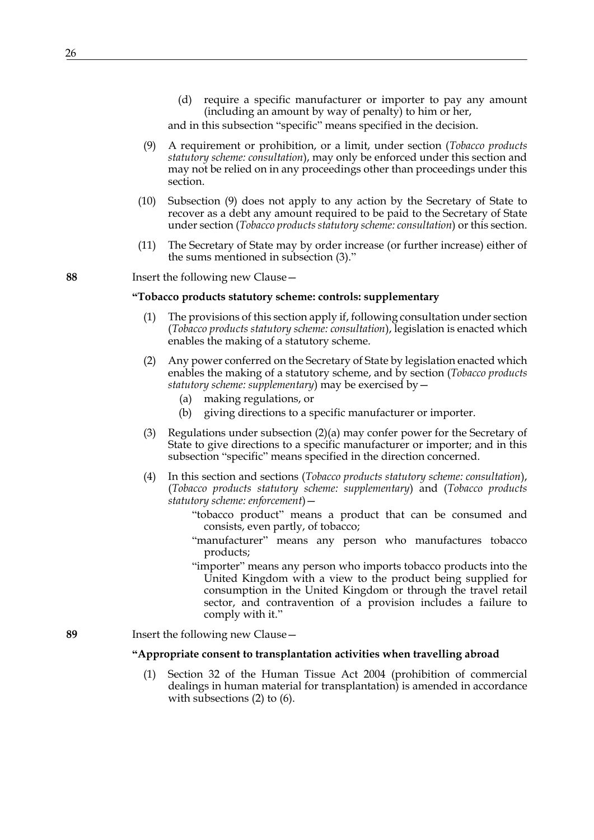(d) require a specific manufacturer or importer to pay any amount (including an amount by way of penalty) to him or her,

and in this subsection "specific" means specified in the decision.

- (9) A requirement or prohibition, or a limit, under section (*Tobacco products statutory scheme: consultation*), may only be enforced under this section and may not be relied on in any proceedings other than proceedings under this section.
- (10) Subsection (9) does not apply to any action by the Secretary of State to recover as a debt any amount required to be paid to the Secretary of State under section (*Tobacco products statutory scheme: consultation*) or this section.
- (11) The Secretary of State may by order increase (or further increase) either of the sums mentioned in subsection (3)."

**88** Insert the following new Clause—

#### **"Tobacco products statutory scheme: controls: supplementary**

- (1) The provisions of this section apply if, following consultation under section (*Tobacco products statutory scheme: consultation*), legislation is enacted which enables the making of a statutory scheme.
- (2) Any power conferred on the Secretary of State by legislation enacted which enables the making of a statutory scheme, and by section (*Tobacco products statutory scheme: supplementary*) may be exercised by—
	- (a) making regulations, or
	- (b) giving directions to a specific manufacturer or importer.
- (3) Regulations under subsection (2)(a) may confer power for the Secretary of State to give directions to a specific manufacturer or importer; and in this subsection "specific" means specified in the direction concerned.
- (4) In this section and sections (*Tobacco products statutory scheme: consultation*), (*Tobacco products statutory scheme: supplementary*) and (*Tobacco products statutory scheme: enforcement*)—
	- "tobacco product" means a product that can be consumed and consists, even partly, of tobacco;
	- "manufacturer" means any person who manufactures tobacco products;
	- "importer" means any person who imports tobacco products into the United Kingdom with a view to the product being supplied for consumption in the United Kingdom or through the travel retail sector, and contravention of a provision includes a failure to comply with it."
- **89** Insert the following new Clause—

#### **"Appropriate consent to transplantation activities when travelling abroad**

(1) Section 32 of the Human Tissue Act 2004 (prohibition of commercial dealings in human material for transplantation) is amended in accordance with subsections (2) to (6).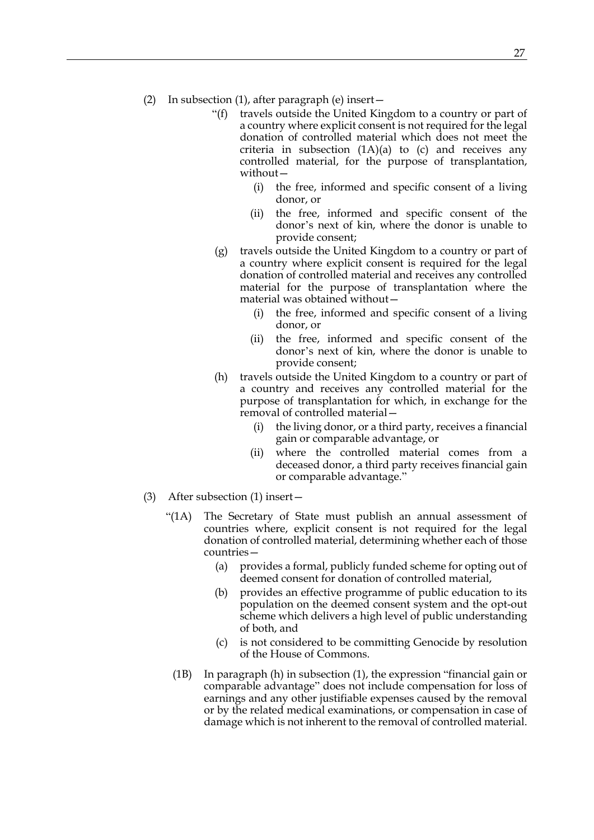- (2) In subsection (1), after paragraph (e) insert—
	- "(f) travels outside the United Kingdom to a country or part of a country where explicit consent is not required for the legal donation of controlled material which does not meet the criteria in subsection  $(1A)(a)$  to  $(c)$  and receives any controlled material, for the purpose of transplantation, without—
		- (i) the free, informed and specific consent of a living donor, or
		- (ii) the free, informed and specific consent of the donor's next of kin, where the donor is unable to provide consent;
	- (g) travels outside the United Kingdom to a country or part of a country where explicit consent is required for the legal donation of controlled material and receives any controlled material for the purpose of transplantation where the material was obtained without—
		- (i) the free, informed and specific consent of a living donor, or
		- (ii) the free, informed and specific consent of the donor's next of kin, where the donor is unable to provide consent;
	- (h) travels outside the United Kingdom to a country or part of a country and receives any controlled material for the purpose of transplantation for which, in exchange for the removal of controlled material—
		- (i) the living donor, or a third party, receives a financial gain or comparable advantage, or
		- (ii) where the controlled material comes from a deceased donor, a third party receives financial gain or comparable advantage."
- (3) After subsection (1) insert—
	- "(1A) The Secretary of State must publish an annual assessment of countries where, explicit consent is not required for the legal donation of controlled material, determining whether each of those countries—
		- (a) provides a formal, publicly funded scheme for opting out of deemed consent for donation of controlled material,
		- (b) provides an effective programme of public education to its population on the deemed consent system and the opt-out scheme which delivers a high level of public understanding of both, and
		- (c) is not considered to be committing Genocide by resolution of the House of Commons.
		- (1B) In paragraph (h) in subsection (1), the expression "financial gain or comparable advantage" does not include compensation for loss of earnings and any other justifiable expenses caused by the removal or by the related medical examinations, or compensation in case of damage which is not inherent to the removal of controlled material.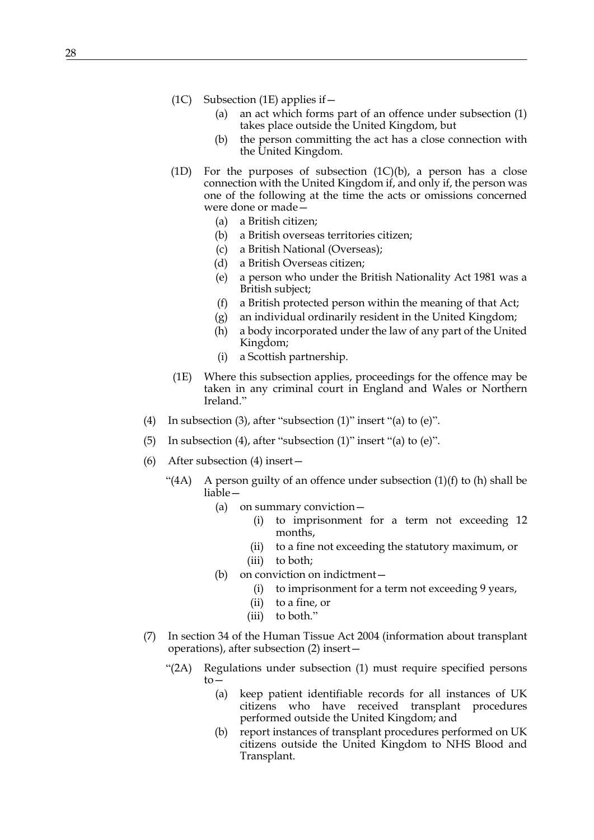- (1C) Subsection (1E) applies if  $-$ 
	- (a) an act which forms part of an offence under subsection (1) takes place outside the United Kingdom, but
	- (b) the person committing the act has a close connection with the United Kingdom.
- (1D) For the purposes of subsection (1C)(b), a person has a close connection with the United Kingdom if, and only if, the person was one of the following at the time the acts or omissions concerned were done or made—
	- (a) a British citizen;
	- (b) a British overseas territories citizen;
	- (c) a British National (Overseas);
	- (d) a British Overseas citizen;
	- (e) a person who under the British Nationality Act 1981 was a British subject;
	- (f) a British protected person within the meaning of that Act;
	- (g) an individual ordinarily resident in the United Kingdom;
	- (h) a body incorporated under the law of any part of the United Kingdom;
	- (i) a Scottish partnership.
- (1E) Where this subsection applies, proceedings for the offence may be taken in any criminal court in England and Wales or Northern Ireland."
- (4) In subsection (3), after "subsection (1)" insert "(a) to (e)".
- (5) In subsection (4), after "subsection (1)" insert "(a) to (e)".
- (6) After subsection (4) insert—
	- "(4A) A person guilty of an offence under subsection  $(1)(f)$  to  $(h)$  shall be liable—
		- (a) on summary conviction—
			- (i) to imprisonment for a term not exceeding 12 months,
			- (ii) to a fine not exceeding the statutory maximum, or
			- (iii) to both;
		- (b) on conviction on indictment—
			- (i) to imprisonment for a term not exceeding 9 years,
			- (ii) to a fine, or
			- (iii) to both."
- (7) In section 34 of the Human Tissue Act 2004 (information about transplant operations), after subsection (2) insert—
	- "(2A) Regulations under subsection (1) must require specified persons to—
		- (a) keep patient identifiable records for all instances of UK citizens who have received transplant procedures performed outside the United Kingdom; and
		- (b) report instances of transplant procedures performed on UK citizens outside the United Kingdom to NHS Blood and Transplant.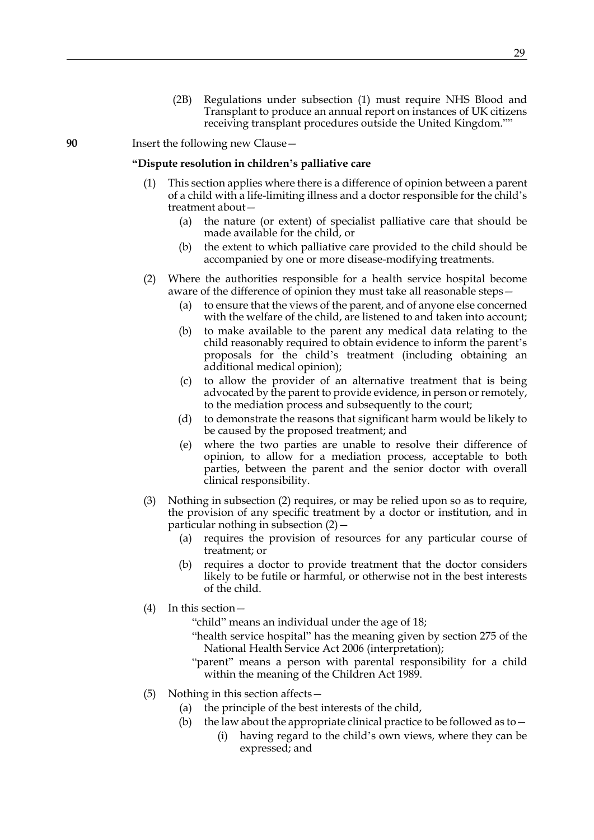(2B) Regulations under subsection (1) must require NHS Blood and Transplant to produce an annual report on instances of UK citizens receiving transplant procedures outside the United Kingdom.""

**90** Insert the following new Clause—

#### **"Dispute resolution in children's palliative care**

- (1) This section applies where there is a difference of opinion between a parent of a child with a life-limiting illness and a doctor responsible for the child's treatment about—
	- (a) the nature (or extent) of specialist palliative care that should be made available for the child, or
	- (b) the extent to which palliative care provided to the child should be accompanied by one or more disease-modifying treatments.
- (2) Where the authorities responsible for a health service hospital become aware of the difference of opinion they must take all reasonable steps—
	- (a) to ensure that the views of the parent, and of anyone else concerned with the welfare of the child, are listened to and taken into account;
	- (b) to make available to the parent any medical data relating to the child reasonably required to obtain evidence to inform the parent's proposals for the child's treatment (including obtaining an additional medical opinion);
	- (c) to allow the provider of an alternative treatment that is being advocated by the parent to provide evidence, in person or remotely, to the mediation process and subsequently to the court;
	- (d) to demonstrate the reasons that significant harm would be likely to be caused by the proposed treatment; and
	- (e) where the two parties are unable to resolve their difference of opinion, to allow for a mediation process, acceptable to both parties, between the parent and the senior doctor with overall clinical responsibility.
- (3) Nothing in subsection (2) requires, or may be relied upon so as to require, the provision of any specific treatment by a doctor or institution, and in particular nothing in subsection (2)—
	- (a) requires the provision of resources for any particular course of treatment; or
	- (b) requires a doctor to provide treatment that the doctor considers likely to be futile or harmful, or otherwise not in the best interests of the child.
- (4) In this section—

"child" means an individual under the age of 18;

- "health service hospital" has the meaning given by section 275 of the National Health Service Act 2006 (interpretation);
- "parent" means a person with parental responsibility for a child within the meaning of the Children Act 1989.
- (5) Nothing in this section affects—
	- (a) the principle of the best interests of the child,
	- (b) the law about the appropriate clinical practice to be followed as to  $-$ 
		- (i) having regard to the child's own views, where they can be expressed; and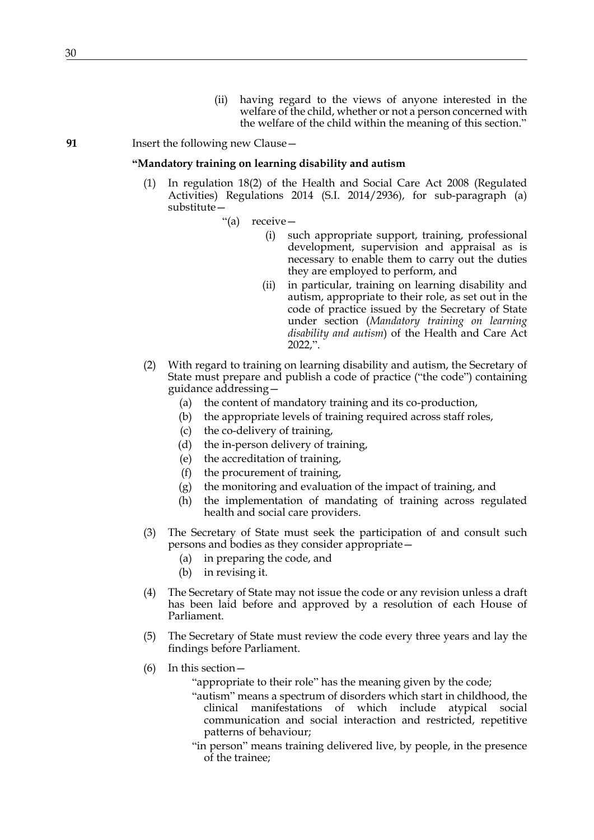(ii) having regard to the views of anyone interested in the welfare of the child, whether or not a person concerned with the welfare of the child within the meaning of this section."

## **91** Insert the following new Clause —

## **"Mandatory training on learning disability and autism**

(1) In regulation 18(2) of the Health and Social Care Act 2008 (Regulated Activities) Regulations 2014 (S.I. 2014/2936), for sub-paragraph (a) substitute—

"(a) receive—

- (i) such appropriate support, training, professional development, supervision and appraisal as is necessary to enable them to carry out the duties they are employed to perform, and
- (ii) in particular, training on learning disability and autism, appropriate to their role, as set out in the code of practice issued by the Secretary of State under section (*Mandatory training on learning disability and autism*) of the Health and Care Act 2022,".
- (2) With regard to training on learning disability and autism, the Secretary of State must prepare and publish a code of practice ("the code") containing guidance addressing—
	- (a) the content of mandatory training and its co-production,
	- (b) the appropriate levels of training required across staff roles,
	- (c) the co-delivery of training,
	- (d) the in-person delivery of training,
	- (e) the accreditation of training,
	- (f) the procurement of training,
	- (g) the monitoring and evaluation of the impact of training, and
	- (h) the implementation of mandating of training across regulated health and social care providers.
- (3) The Secretary of State must seek the participation of and consult such persons and bodies as they consider appropriate—
	- (a) in preparing the code, and
	- (b) in revising it.
- (4) The Secretary of State may not issue the code or any revision unless a draft has been laid before and approved by a resolution of each House of Parliament.
- (5) The Secretary of State must review the code every three years and lay the findings before Parliament.
- (6) In this section—
	- "appropriate to their role" has the meaning given by the code;
	- "autism" means a spectrum of disorders which start in childhood, the clinical manifestations of which include atypical social communication and social interaction and restricted, repetitive patterns of behaviour;
	- "in person" means training delivered live, by people, in the presence of the trainee;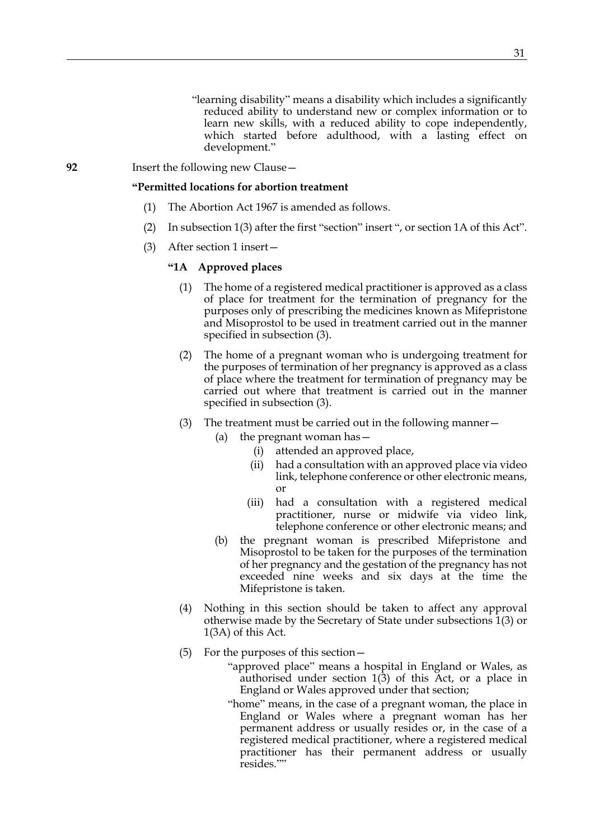- "learning disability" means a disability which includes a significantly reduced ability to understand new or complex information or to learn new skills, with a reduced ability to cope independently, which started before adulthood, with a lasting effect on development."
- **92** Insert the following new Clause—

#### **"Permitted locations for abortion treatment**

- (1) The Abortion Act 1967 is amended as follows.
- (2) In subsection 1(3) after the first "section" insert ", or section 1A of this Act".
- (3) After section 1 insert—

## **"1A Approved places**

- (1) The home of a registered medical practitioner is approved as a class of place for treatment for the termination of pregnancy for the purposes only of prescribing the medicines known as Mifepristone and Misoprostol to be used in treatment carried out in the manner specified in subsection (3).
- (2) The home of a pregnant woman who is undergoing treatment for the purposes of termination of her pregnancy is approved as a class of place where the treatment for termination of pregnancy may be carried out where that treatment is carried out in the manner specified in subsection (3).
- (3) The treatment must be carried out in the following manner—
	- (a) the pregnant woman has—
		- (i) attended an approved place,
		- (ii) had a consultation with an approved place via video link, telephone conference or other electronic means, or
		- (iii) had a consultation with a registered medical practitioner, nurse or midwife via video link, telephone conference or other electronic means; and
	- (b) the pregnant woman is prescribed Mifepristone and Misoprostol to be taken for the purposes of the termination of her pregnancy and the gestation of the pregnancy has not exceeded nine weeks and six days at the time the Mifepristone is taken.
- (4) Nothing in this section should be taken to affect any approval otherwise made by the Secretary of State under subsections 1(3) or 1(3A) of this Act.
- (5) For the purposes of this section—
	- "approved place" means a hospital in England or Wales, as authorised under section 1(3) of this Act, or a place in England or Wales approved under that section;
	- "home" means, in the case of a pregnant woman, the place in England or Wales where a pregnant woman has her permanent address or usually resides or, in the case of a registered medical practitioner, where a registered medical practitioner has their permanent address or usually resides.""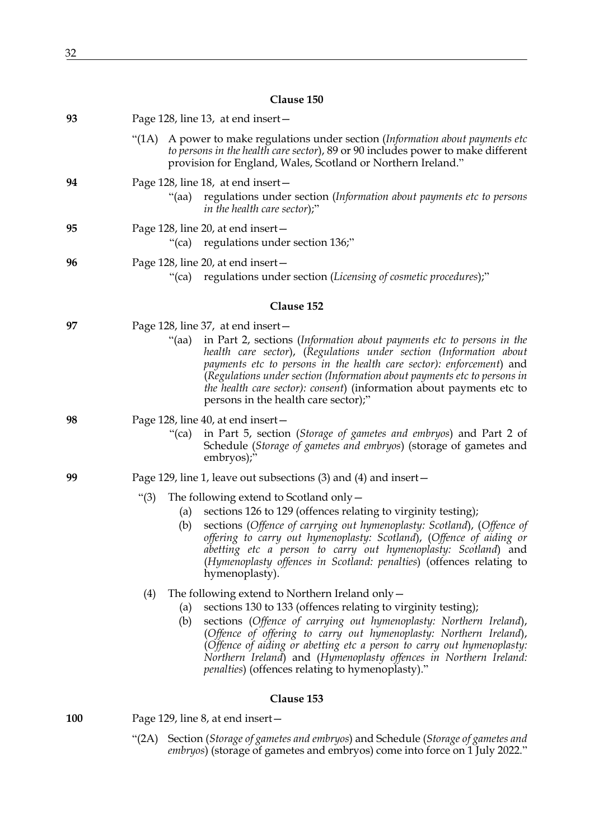| 93  | Page 128, line 13, at end insert -                                                                                                                                                                                                                                                                                                                                                                                                                                                             |
|-----|------------------------------------------------------------------------------------------------------------------------------------------------------------------------------------------------------------------------------------------------------------------------------------------------------------------------------------------------------------------------------------------------------------------------------------------------------------------------------------------------|
|     | A power to make regulations under section (Information about payments etc<br>"(1A)<br>to persons in the health care sector), 89 or 90 includes power to make different<br>provision for England, Wales, Scotland or Northern Ireland."                                                                                                                                                                                                                                                         |
| 94  | Page 128, line 18, at end insert-<br>"(aa) regulations under section (Information about payments etc to persons<br><i>in the health care sector</i> );"                                                                                                                                                                                                                                                                                                                                        |
| 95  | Page 128, line 20, at end insert-<br>"(ca) regulations under section 136;"                                                                                                                                                                                                                                                                                                                                                                                                                     |
| 96  | Page 128, line 20, at end insert-<br>"(ca) regulations under section (Licensing of cosmetic procedures);"                                                                                                                                                                                                                                                                                                                                                                                      |
|     | Clause 152                                                                                                                                                                                                                                                                                                                                                                                                                                                                                     |
| 97  | Page 128, line 37, at end insert -<br>in Part 2, sections (Information about payments etc to persons in the<br>"(aa)<br>health care sector), (Regulations under section (Information about<br>payments etc to persons in the health care sector): enforcement) and<br>(Regulations under section (Information about payments etc to persons in<br>the health care sector): consent) (information about payments etc to<br>persons in the health care sector);"                                 |
| 98  | Page 128, line 40, at end insert-                                                                                                                                                                                                                                                                                                                                                                                                                                                              |
|     | in Part 5, section (Storage of gametes and embryos) and Part 2 of<br>"(ca)<br>Schedule (Storage of gametes and embryos) (storage of gametes and<br>embryos);"                                                                                                                                                                                                                                                                                                                                  |
| 99  | Page 129, line 1, leave out subsections $(3)$ and $(4)$ and insert –                                                                                                                                                                                                                                                                                                                                                                                                                           |
|     | The following extend to Scotland only $-$<br>" $(3)$<br>sections 126 to 129 (offences relating to virginity testing);<br>(a)<br>sections (Offence of carrying out hymenoplasty: Scotland), (Offence of<br>(b)<br>offering to carry out hymenoplasty: Scotland), (Offence of aiding or<br>abetting etc a person to carry out hymenoplasty: Scotland) and<br>(Hymenoplasty offences in Scotland: penalties) (offences relating to<br>hymenoplasty).                                              |
|     | The following extend to Northern Ireland only $-$<br>(4)<br>sections 130 to 133 (offences relating to virginity testing);<br>(a)<br>sections (Offence of carrying out hymenoplasty: Northern Ireland),<br>(b)<br>(Offence of offering to carry out hymenoplasty: Northern Ireland),<br>(Offence of aiding or abetting etc a person to carry out hymenoplasty:<br>Northern Ireland) and (Hymenoplasty offences in Northern Ireland:<br><i>penalties</i> ) (offences relating to hymenoplasty)." |
|     | Clause 153                                                                                                                                                                                                                                                                                                                                                                                                                                                                                     |
| 100 | Page 129, line 8, at end insert-                                                                                                                                                                                                                                                                                                                                                                                                                                                               |

"(2A) Section (*Storage of gametes and embryos*) and Schedule (*Storage of gametes and embryos*) (storage of gametes and embryos) come into force on 1 July 2022."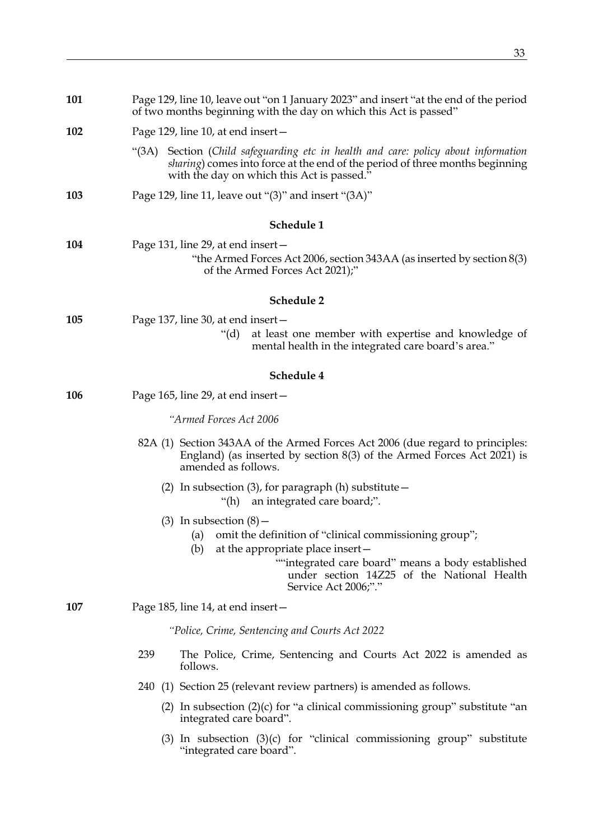| 101        | Page 129, line 10, leave out "on 1 January 2023" and insert "at the end of the period<br>of two months beginning with the day on which this Act is passed"                                                                                                      |  |
|------------|-----------------------------------------------------------------------------------------------------------------------------------------------------------------------------------------------------------------------------------------------------------------|--|
| 102        | Page 129, line 10, at end insert –                                                                                                                                                                                                                              |  |
|            | Section (Child safeguarding etc in health and care: policy about information<br>"(3A)<br><i>sharing</i> ) comes into force at the end of the period of three months beginning<br>with the day on which this Act is passed."                                     |  |
| 103        | Page 129, line 11, leave out " $(3)$ " and insert " $(3A)$ "                                                                                                                                                                                                    |  |
| Schedule 1 |                                                                                                                                                                                                                                                                 |  |
| 104        | Page 131, line 29, at end insert –<br>"the Armed Forces Act 2006, section 343AA (as inserted by section 8(3)<br>of the Armed Forces Act 2021);"                                                                                                                 |  |
| Schedule 2 |                                                                                                                                                                                                                                                                 |  |
| 105        | Page 137, line 30, at end insert –                                                                                                                                                                                                                              |  |
|            | at least one member with expertise and knowledge of<br>" $(d)$<br>mental health in the integrated care board's area."                                                                                                                                           |  |
|            | Schedule 4                                                                                                                                                                                                                                                      |  |
| 106        | Page 165, line 29, at end insert $-$                                                                                                                                                                                                                            |  |
|            | "Armed Forces Act 2006                                                                                                                                                                                                                                          |  |
|            | 82A (1) Section 343AA of the Armed Forces Act 2006 (due regard to principles:<br>England) (as inserted by section $8(3)$ of the Armed Forces Act 2021) is<br>amended as follows.                                                                                |  |
|            | (2) In subsection (3), for paragraph (h) substitute $-$<br>an integrated care board;".<br>"(h)                                                                                                                                                                  |  |
|            | $(3)$ In subsection $(8)$ –<br>(a) omit the definition of "clinical commissioning group";<br>at the appropriate place insert –<br>(b)<br>"integrated care board" means a body established<br>under section 14Z25 of the National Health<br>Service Act 2006;"." |  |
| 107        | Page 185, line 14, at end insert-                                                                                                                                                                                                                               |  |
|            | "Police, Crime, Sentencing and Courts Act 2022                                                                                                                                                                                                                  |  |
|            | 239<br>The Police, Crime, Sentencing and Courts Act 2022 is amended as<br>follows.                                                                                                                                                                              |  |
|            | 240 (1) Section 25 (relevant review partners) is amended as follows.                                                                                                                                                                                            |  |
|            | (2) In subsection $(2)(c)$ for "a clinical commissioning group" substitute "an<br>integrated care board".                                                                                                                                                       |  |
|            | $(3)$ In subsection $(3)(c)$ for "clinical commissioning group" substitute<br>"integrated care board".                                                                                                                                                          |  |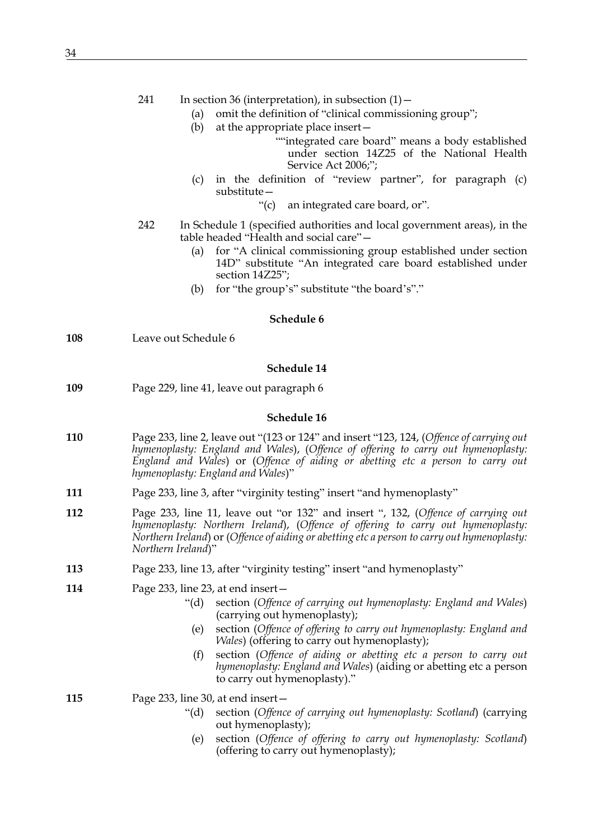|     | 241<br>In section 36 (interpretation), in subsection $(1)$ –<br>omit the definition of "clinical commissioning group";<br>(a)<br>(b)<br>at the appropriate place insert –<br>"integrated care board" means a body established<br>under section 14Z25 of the National Health<br>Service Act 2006;";<br>in the definition of "review partner", for paragraph (c)<br>(c)<br>$substitute -$<br>$\lq\lq$ (c)<br>an integrated care board, or".                       |  |
|-----|-----------------------------------------------------------------------------------------------------------------------------------------------------------------------------------------------------------------------------------------------------------------------------------------------------------------------------------------------------------------------------------------------------------------------------------------------------------------|--|
|     | 242<br>In Schedule 1 (specified authorities and local government areas), in the<br>table headed "Health and social care"-<br>for "A clinical commissioning group established under section<br>(a)<br>14D" substitute "An integrated care board established under<br>section 14Z25";<br>for "the group's" substitute "the board's"."<br>(b)                                                                                                                      |  |
|     | Schedule 6                                                                                                                                                                                                                                                                                                                                                                                                                                                      |  |
| 108 | Leave out Schedule 6                                                                                                                                                                                                                                                                                                                                                                                                                                            |  |
|     | Schedule 14                                                                                                                                                                                                                                                                                                                                                                                                                                                     |  |
| 109 | Page 229, line 41, leave out paragraph 6                                                                                                                                                                                                                                                                                                                                                                                                                        |  |
|     | Schedule 16                                                                                                                                                                                                                                                                                                                                                                                                                                                     |  |
| 110 | Page 233, line 2, leave out "(123 or 124" and insert "123, 124, (Offence of carrying out<br>hymenoplasty: England and Wales), (Offence of offering to carry out hymenoplasty:<br>England and Wales) or (Offence of aiding or abetting etc a person to carry out<br>hymenoplasty: England and Wales)"                                                                                                                                                            |  |
| 111 | Page 233, line 3, after "virginity testing" insert "and hymenoplasty"                                                                                                                                                                                                                                                                                                                                                                                           |  |
| 112 | Page 233, line 11, leave out "or 132" and insert ", 132, (Offence of carrying out<br>hymenoplasty: Northern Ireland), (Offence of offering to carry out hymenoplasty:<br>Northern Ireland) or (Offence of aiding or abetting etc a person to carry out hymenoplasty:<br>Northern Ireland)"                                                                                                                                                                      |  |
| 113 | Page 233, line 13, after "virginity testing" insert "and hymenoplasty"                                                                                                                                                                                                                                                                                                                                                                                          |  |
| 114 | Page 233, line 23, at end insert-<br>section (Offence of carrying out hymenoplasty: England and Wales)<br>" $(d)$<br>(carrying out hymenoplasty);<br>section (Offence of offering to carry out hymenoplasty: England and<br>(e)<br>Wales) (offering to carry out hymenoplasty);<br>section (Offence of aiding or abetting etc a person to carry out<br>(f)<br>hymenoplasty: England and Wales) (aiding or abetting etc a person<br>to carry out hymenoplasty)." |  |
| 115 | Page 233, line 30, at end insert-<br>section (Offence of carrying out hymenoplasty: Scotland) (carrying<br>" $(d)$ "<br>out hymenoplasty);<br>section (Offence of offering to carry out hymenoplasty: Scotland)<br>(e)<br>(offering to carry out hymenoplasty);                                                                                                                                                                                                 |  |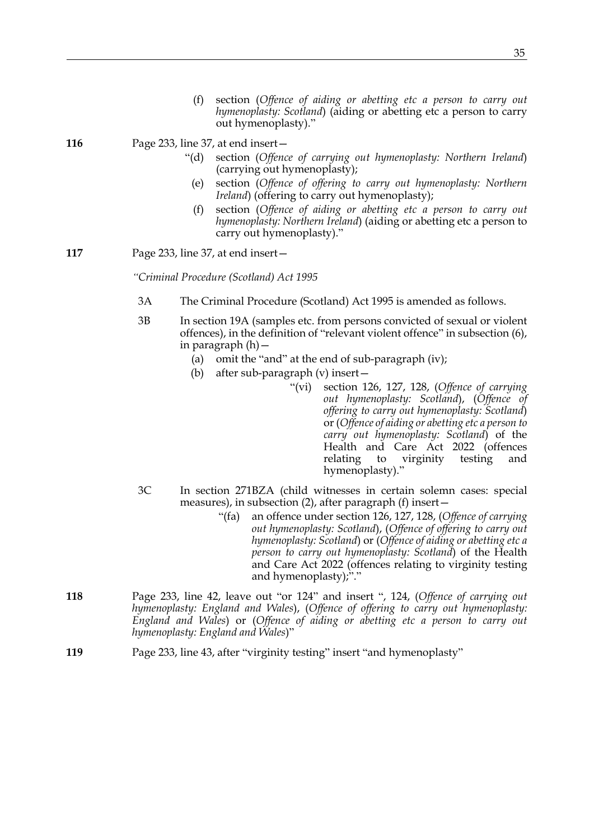- (f) section (*Offence of aiding or abetting etc a person to carry out hymenoplasty: Scotland*) (aiding or abetting etc a person to carry out hymenoplasty)."
- **116** Page 233, line 37, at end insert—
	- "(d) section (*Offence of carrying out hymenoplasty: Northern Ireland*) (carrying out hymenoplasty);
		- (e) section (*Offence of offering to carry out hymenoplasty: Northern Ireland*) (offering to carry out hymenoplasty);
		- (f) section (*Offence of aiding or abetting etc a person to carry out hymenoplasty: Northern Ireland*) (aiding or abetting etc a person to carry out hymenoplasty)."
- **117** Page 233, line 37, at end insert—

*"Criminal Procedure (Scotland) Act 1995*

- 3A The Criminal Procedure (Scotland) Act 1995 is amended as follows.
- 3B In section 19A (samples etc. from persons convicted of sexual or violent offences), in the definition of "relevant violent offence" in subsection (6), in paragraph (h)—
	- (a) omit the "and" at the end of sub-paragraph (iv);
	- (b) after sub-paragraph (v) insert—
		- "(vi) section 126, 127, 128, (*Offence of carrying out hymenoplasty: Scotland*), (*Offence of offering to carry out hymenoplasty: Scotland*) or (*Offence of aiding or abetting etc a person to carry out hymenoplasty: Scotland*) of the Health and Care Act 2022 (offences relating to virginity testing and hymenoplasty)."
- 3C In section 271BZA (child witnesses in certain solemn cases: special measures), in subsection (2), after paragraph (f) insert—
	- "(fa) an offence under section 126, 127, 128, (*Offence of carrying out hymenoplasty: Scotland*), (*Offence of offering to carry out hymenoplasty: Scotland*) or (*Offence of aiding or abetting etc a person to carry out hymenoplasty: Scotland*) of the Health and Care Act 2022 (offences relating to virginity testing and hymenoplasty);"."
- **118** Page 233, line 42, leave out "or 124" and insert ", 124, (*Offence of carrying out hymenoplasty: England and Wales*), (*Offence of offering to carry out hymenoplasty: England and Wales*) or (*Offence of aiding or abetting etc a person to carry out hymenoplasty: England and Wales*)"
- **119** Page 233, line 43, after "virginity testing" insert "and hymenoplasty"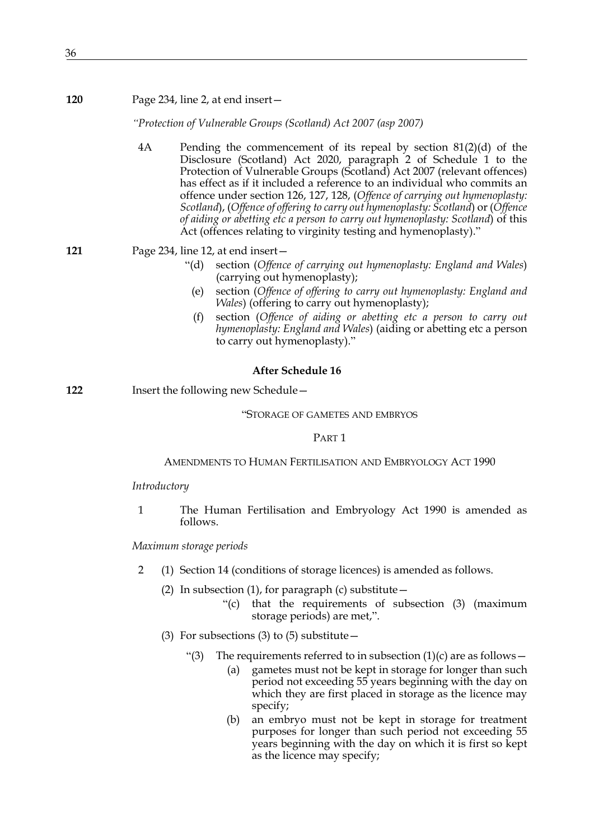#### **120** Page 234, line 2, at end insert—

*"Protection of Vulnerable Groups (Scotland) Act 2007 (asp 2007)*

4A Pending the commencement of its repeal by section 81(2)(d) of the Disclosure (Scotland) Act 2020, paragraph 2 of Schedule 1 to the Protection of Vulnerable Groups (Scotland) Act 2007 (relevant offences) has effect as if it included a reference to an individual who commits an offence under section 126, 127, 128, (*Offence of carrying out hymenoplasty: Scotland*), (*Offence of offering to carry out hymenoplasty: Scotland*) or (*Offence of aiding or abetting etc a person to carry out hymenoplasty: Scotland*) of this Act (offences relating to virginity testing and hymenoplasty)."

**121** Page 234, line 12, at end insert—

- "(d) section (*Offence of carrying out hymenoplasty: England and Wales*) (carrying out hymenoplasty);
- (e) section (*Offence of offering to carry out hymenoplasty: England and Wales*) (offering to carry out hymenoplasty);
- (f) section (*Offence of aiding or abetting etc a person to carry out hymenoplasty: England and Wales*) (aiding or abetting etc a person to carry out hymenoplasty)."

## **After Schedule 16**

**122** Insert the following new Schedule—

"STORAGE OF GAMETES AND EMBRYOS

#### PART 1

### AMENDMENTS TO HUMAN FERTILISATION AND EMBRYOLOGY ACT 1990

#### *Introductory*

1 The Human Fertilisation and Embryology Act 1990 is amended as follows.

*Maximum storage periods*

- <span id="page-35-0"></span>2 (1) Section 14 (conditions of storage licences) is amended as follows.
	- (2) In subsection (1), for paragraph (c) substitute  $-$ 
		- "(c) that the requirements of subsection (3) (maximum storage periods) are met,".
	- (3) For subsections (3) to (5) substitute  $-$ 
		- "(3) The requirements referred to in subsection  $(1)(c)$  are as follows -
			- (a) gametes must not be kept in storage for longer than such period not exceeding 55 years beginning with the day on which they are first placed in storage as the licence may specify;
			- (b) an embryo must not be kept in storage for treatment purposes for longer than such period not exceeding 55 years beginning with the day on which it is first so kept as the licence may specify;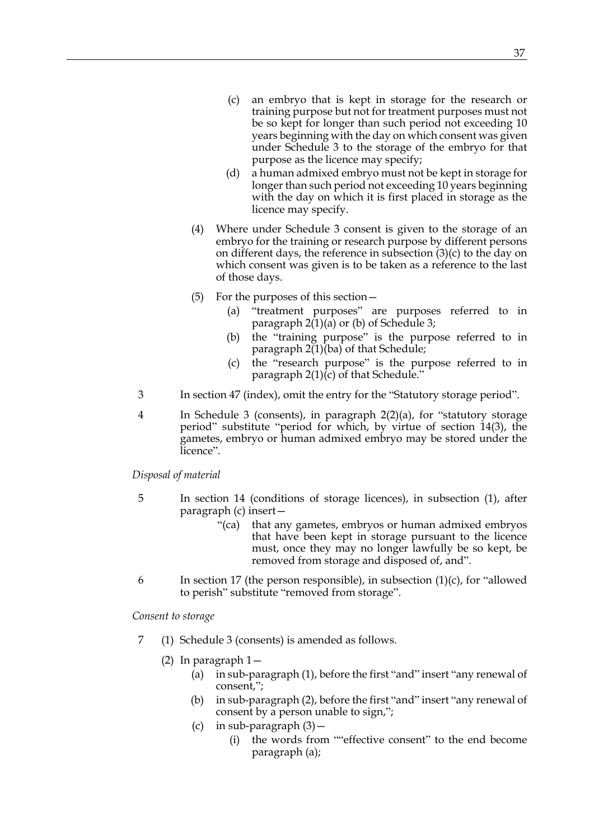- (c) an embryo that is kept in storage for the research or training purpose but not for treatment purposes must not be so kept for longer than such period not exceeding 10 years beginning with the day on which consent was given under Schedule 3 to the storage of the embryo for that purpose as the licence may specify;
- (d) a human admixed embryo must not be kept in storage for longer than such period not exceeding 10 years beginning with the day on which it is first placed in storage as the licence may specify.
- (4) Where under Schedule 3 consent is given to the storage of an embryo for the training or research purpose by different persons on different days, the reference in subsection (3)(c) to the day on which consent was given is to be taken as a reference to the last of those days.
- (5) For the purposes of this section—
	- (a) "treatment purposes" are purposes referred to in paragraph  $2(1)(a)$  or (b) of Schedule 3;
	- (b) the "training purpose" is the purpose referred to in paragraph 2(1)(ba) of that Schedule;
	- (c) the "research purpose" is the purpose referred to in paragraph  $2(1)(c)$  of that Schedule."
- 3 In section 47 (index), omit the entry for the "Statutory storage period".
- 4 In Schedule 3 (consents), in paragraph 2(2)(a), for "statutory storage period" substitute "period for which, by virtue of section 14(3), the gametes, embryo or human admixed embryo may be stored under the licence".

*Disposal of material*

- <span id="page-36-1"></span>5 In section 14 (conditions of storage licences), in subsection (1), after paragraph (c) insert—
	- "(ca) that any gametes, embryos or human admixed embryos that have been kept in storage pursuant to the licence must, once they may no longer lawfully be so kept, be removed from storage and disposed of, and".
- <span id="page-36-0"></span>6 In section 17 (the person responsible), in subsection  $(1)(c)$ , for "allowed" to perish" substitute "removed from storage".

*Consent to storage*

- <span id="page-36-2"></span>7 (1) Schedule 3 (consents) is amended as follows.
	- (2) In paragraph 1—
		- (a) in sub-paragraph (1), before the first "and" insert "any renewal of consent,";
		- (b) in sub-paragraph (2), before the first "and" insert "any renewal of consent by a person unable to sign,";
		- (c) in sub-paragraph  $(3)$  -
			- (i) the words from ""effective consent" to the end become paragraph (a);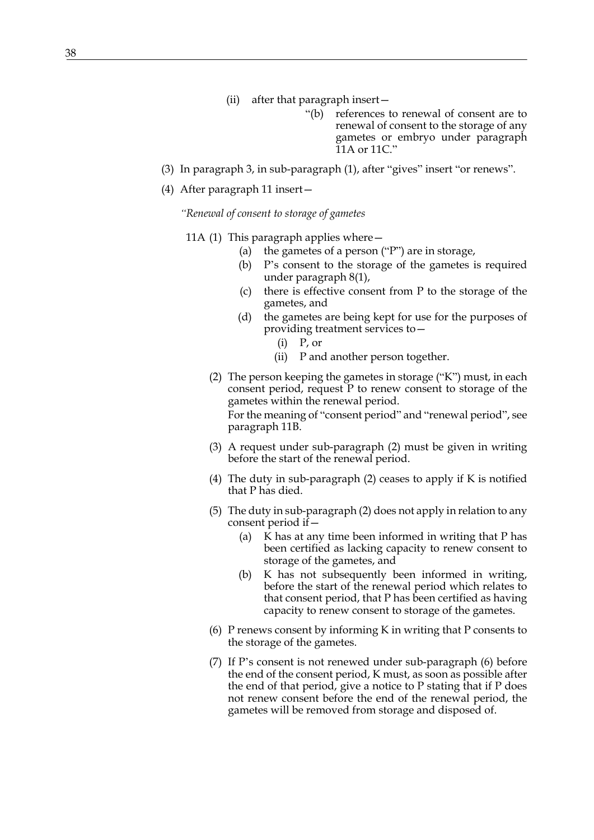- (ii) after that paragraph insert—
	- "(b) references to renewal of consent are to renewal of consent to the storage of any gametes or embryo under paragraph 11A or 11C."
- (3) In paragraph 3, in sub-paragraph (1), after "gives" insert "or renews".
- <span id="page-37-3"></span>(4) After paragraph 11 insert—

*"Renewal of consent to storage of gametes*

- <span id="page-37-5"></span><span id="page-37-4"></span><span id="page-37-2"></span><span id="page-37-1"></span><span id="page-37-0"></span>11A (1) This paragraph applies where  $-$ 
	- (a) the gametes of a person ("P") are in storage,
	- (b) P's consent to the storage of the gametes is required under paragraph 8(1),
	- (c) there is effective consent from P to the storage of the gametes, and
	- (d) the gametes are being kept for use for the purposes of providing treatment services to—
		- $(i)$  P, or
		- (ii) P and another person together.
	- (2) The person keeping the gametes in storage ("K") must, in each consent period, request P to renew consent to storage of the gametes within the renewal period. For the meaning of "consent period" and "renewal period", see paragraph 11B.
	- (3) A request under sub-paragraph [\(2\)](#page-37-0) must be given in writing before the start of the renewal period.
	- (4) The duty in sub-paragraph [\(2\)](#page-37-0) ceases to apply if K is notified that P has died.
	- (5) The duty in sub-paragraph [\(2\)](#page-37-0) does not apply in relation to any consent period if—
		- (a) K has at any time been informed in writing that P has been certified as lacking capacity to renew consent to storage of the gametes, and
		- (b) K has not subsequently been informed in writing, before the start of the renewal period which relates to that consent period, that P has been certified as having capacity to renew consent to storage of the gametes.
	- (6) P renews consent by informing K in writing that P consents to the storage of the gametes.
	- (7) If P's consent is not renewed under sub-paragraph [\(6\)](#page-37-1) before the end of the consent period, K must, as soon as possible after the end of that period, give a notice to P stating that if P does not renew consent before the end of the renewal period, the gametes will be removed from storage and disposed of.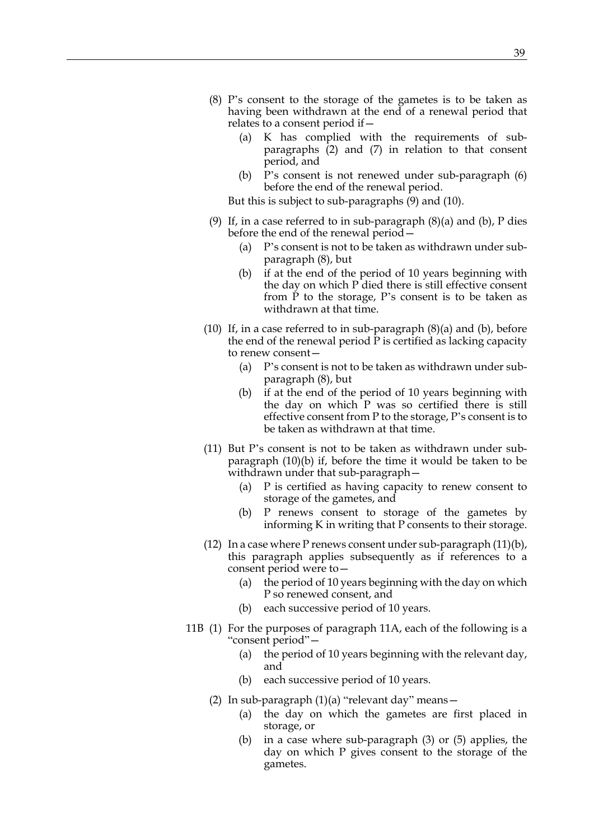- <span id="page-38-4"></span><span id="page-38-2"></span>(8) P's consent to the storage of the gametes is to be taken as having been withdrawn at the end of a renewal period that relates to a consent period if—
	- (a) K has complied with the requirements of subparagraphs [\(2\)](#page-37-0) and [\(7\)](#page-37-2) in relation to that consent period, and
	- (b) P's consent is not renewed under sub-paragraph [\(6\)](#page-37-1) before the end of the renewal period.

But this is subject to sub-paragraphs [\(9\)](#page-38-0) and [\(10\).](#page-38-1)

- <span id="page-38-3"></span><span id="page-38-0"></span>(9) If, in a case referred to in sub-paragraph  $(8)(a)$  and  $(b)$ , P dies before the end of the renewal period—
	- (a) P's consent is not to be taken as withdrawn under subparagraph [\(8\),](#page-38-4) but
	- (b) if at the end of the period of 10 years beginning with the day on which P died there is still effective consent from P to the storage, P's consent is to be taken as withdrawn at that time.
- <span id="page-38-1"></span>(10) If, in a case referred to in sub-paragraph  $(8)(a)$  and  $(b)$ , before the end of the renewal period P is certified as lacking capacity to renew consent—
	- (a) P's consent is not to be taken as withdrawn under subparagraph [\(8\),](#page-38-4) but
	- (b) if at the end of the period of 10 years beginning with the day on which P was so certified there is still effective consent from P to the storage, P's consent is to be taken as withdrawn at that time.
- <span id="page-38-5"></span>(11) But P's consent is not to be taken as withdrawn under subparagraph [\(10\)\(b\)](#page-38-5) if, before the time it would be taken to be withdrawn under that sub-paragraph—
	- (a) P is certified as having capacity to renew consent to storage of the gametes, and
	- (b) P renews consent to storage of the gametes by informing K in writing that P consents to their storage.
- <span id="page-38-6"></span> $(12)$  In a case where P renews consent under sub-paragraph  $(11)(b)$ , this paragraph applies subsequently as if references to a consent period were to—
	- (a) the period of 10 years beginning with the day on which P so renewed consent, and
	- (b) each successive period of 10 years.
- <span id="page-38-7"></span>11B (1) For the purposes of paragraph 11A, each of the following is a "consent period"—
	- (a) the period of 10 years beginning with the relevant day, and
	- (b) each successive period of 10 years.
	- (2) In sub-paragraph (1)(a) "relevant day" means—
		- (a) the day on which the gametes are first placed in storage, or
		- (b) in a case where sub-paragraph [\(3\)](#page-39-0) or [\(5\)](#page-39-1) applies, the day on which P gives consent to the storage of the gametes.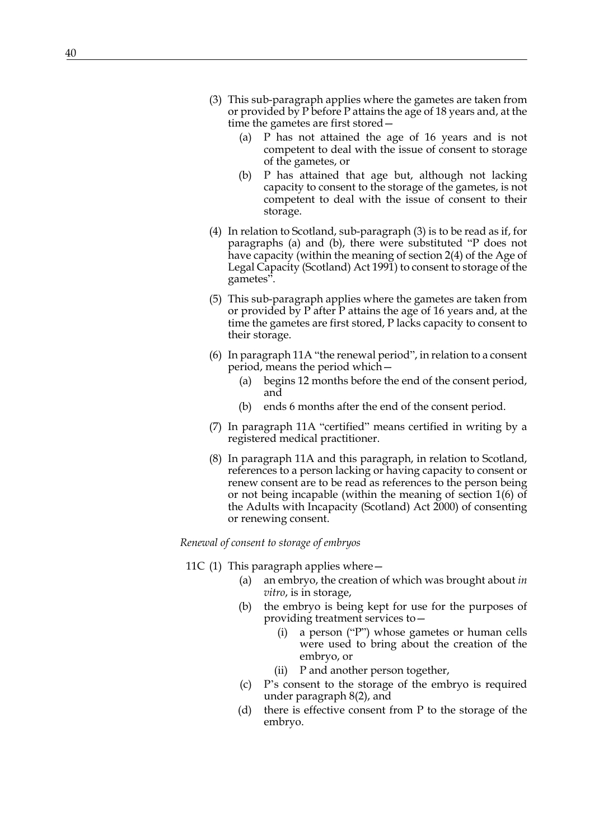- <span id="page-39-0"></span>(3) This sub-paragraph applies where the gametes are taken from or provided by P before P attains the age of 18 years and, at the time the gametes are first stored—
	- (a) P has not attained the age of 16 years and is not competent to deal with the issue of consent to storage of the gametes, or
	- (b) P has attained that age but, although not lacking capacity to consent to the storage of the gametes, is not competent to deal with the issue of consent to their storage.
- (4) In relation to Scotland, sub-paragraph [\(3\)](#page-39-0) is to be read as if, for paragraphs (a) and (b), there were substituted "P does not have capacity (within the meaning of section 2(4) of the Age of Legal Capacity (Scotland) Act 1991) to consent to storage of the gametes".
- <span id="page-39-1"></span>(5) This sub-paragraph applies where the gametes are taken from or provided by P after P attains the age of 16 years and, at the time the gametes are first stored, P lacks capacity to consent to their storage.
- (6) In paragraph [11A](#page-37-3) "the renewal period", in relation to a consent period, means the period which—
	- (a) begins 12 months before the end of the consent period, and
	- (b) ends 6 months after the end of the consent period.
- (7) In paragraph [11A](#page-37-3) "certified" means certified in writing by a registered medical practitioner.
- (8) In paragraph [11A](#page-37-3) and this paragraph, in relation to Scotland, references to a person lacking or having capacity to consent or renew consent are to be read as references to the person being or not being incapable (within the meaning of section 1(6) of the Adults with Incapacity (Scotland) Act 2000) of consenting or renewing consent.

## <span id="page-39-2"></span>*Renewal of consent to storage of embryos*

- 11C (1) This paragraph applies where—
	- (a) an embryo, the creation of which was brought about *in vitro*, is in storage,
	- (b) the embryo is being kept for use for the purposes of providing treatment services to—
		- (i) a person ("P") whose gametes or human cells were used to bring about the creation of the embryo, or
		- (ii) P and another person together,
	- (c) P's consent to the storage of the embryo is required under paragraph 8(2), and
	- (d) there is effective consent from P to the storage of the embryo.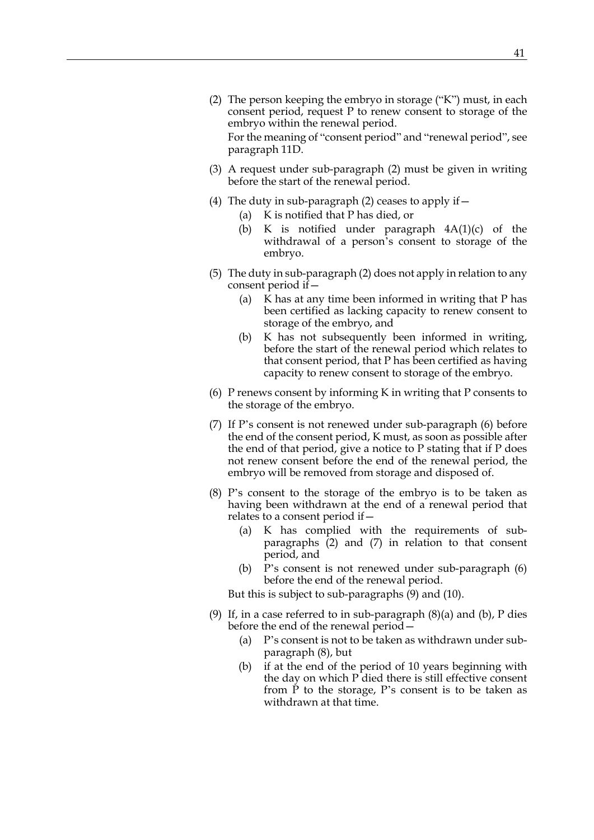- <span id="page-40-0"></span>(2) The person keeping the embryo in storage ("K") must, in each consent period, request P to renew consent to storage of the embryo within the renewal period. For the meaning of "consent period" and "renewal period", see paragraph 11D.
- <span id="page-40-7"></span>(3) A request under sub-paragraph [\(2\)](#page-40-0) must be given in writing before the start of the renewal period.
- (4) The duty in sub-paragraph [\(2\)](#page-40-0) ceases to apply if—
	- (a) K is notified that P has died, or
	- (b) K is notified under paragraph  $4A(1)(c)$  of the withdrawal of a person's consent to storage of the embryo.
- <span id="page-40-8"></span>(5) The duty in sub-paragraph [\(2\)](#page-40-0) does not apply in relation to any consent period if—
	- (a) K has at any time been informed in writing that P has been certified as lacking capacity to renew consent to storage of the embryo, and
	- (b) K has not subsequently been informed in writing, before the start of the renewal period which relates to that consent period, that P has been certified as having capacity to renew consent to storage of the embryo.
- <span id="page-40-1"></span>(6) P renews consent by informing K in writing that P consents to the storage of the embryo.
- <span id="page-40-2"></span>(7) If P's consent is not renewed under sub-paragraph [\(6\)](#page-40-1) before the end of the consent period, K must, as soon as possible after the end of that period, give a notice to P stating that if P does not renew consent before the end of the renewal period, the embryo will be removed from storage and disposed of.
- <span id="page-40-6"></span><span id="page-40-4"></span>(8) P's consent to the storage of the embryo is to be taken as having been withdrawn at the end of a renewal period that relates to a consent period if—
	- (a) K has complied with the requirements of subparagraphs [\(2\)](#page-40-0) and [\(7\)](#page-40-2) in relation to that consent period, and
	- (b) P's consent is not renewed under sub-paragraph [\(6\)](#page-40-1) before the end of the renewal period.

But this is subject to sub-paragraphs [\(9\)](#page-40-3) and [\(10\).](#page-41-0)

- <span id="page-40-5"></span><span id="page-40-3"></span>(9) If, in a case referred to in sub-paragraph  $(8)(a)$  and  $(b)$ , P dies before the end of the renewal period—
	- (a) P's consent is not to be taken as withdrawn under subparagraph [\(8\),](#page-40-6) but
	- (b) if at the end of the period of 10 years beginning with the day on which P died there is still effective consent from P to the storage, P's consent is to be taken as withdrawn at that time.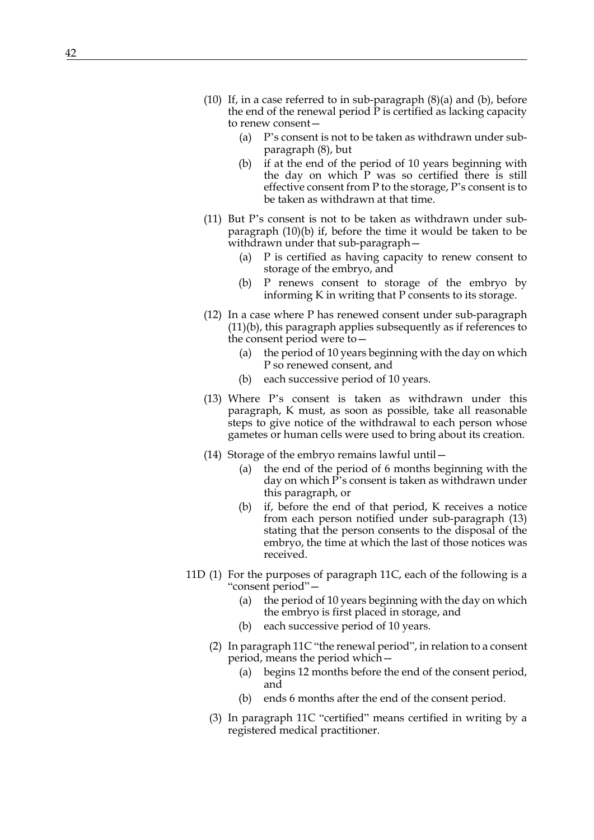- <span id="page-41-1"></span><span id="page-41-0"></span>(10) If, in a case referred to in sub-paragraph  $(8)(a)$  and  $(b)$ , before the end of the renewal period P is certified as lacking capacity to renew consent—
	- (a) P's consent is not to be taken as withdrawn under subparagraph [\(8\),](#page-40-6) but
	- (b) if at the end of the period of 10 years beginning with the day on which P was so certified there is still effective consent from P to the storage, P's consent is to be taken as withdrawn at that time.
- (11) But P's consent is not to be taken as withdrawn under subparagraph [\(10\)\(b\)](#page-41-1) if, before the time it would be taken to be withdrawn under that sub-paragraph—
	- (a) P is certified as having capacity to renew consent to storage of the embryo, and
	- (b) P renews consent to storage of the embryo by informing K in writing that P consents to its storage.
- <span id="page-41-2"></span>(12) In a case where P has renewed consent under sub-paragraph [\(11\)\(b\)](#page-41-2), this paragraph applies subsequently as if references to the consent period were to—
	- (a) the period of 10 years beginning with the day on which P so renewed consent, and
	- (b) each successive period of 10 years.
- <span id="page-41-3"></span>(13) Where P's consent is taken as withdrawn under this paragraph, K must, as soon as possible, take all reasonable steps to give notice of the withdrawal to each person whose gametes or human cells were used to bring about its creation.
- (14) Storage of the embryo remains lawful until—
	- (a) the end of the period of 6 months beginning with the day on which  $\overline{P}$ 's consent is taken as withdrawn under this paragraph, or
	- (b) if, before the end of that period, K receives a notice from each person notified under sub-paragraph [\(13\)](#page-41-3) stating that the person consents to the disposal of the embryo, the time at which the last of those notices was received.
- <span id="page-41-4"></span>11D (1) For the purposes of paragraph [11C,](#page-39-2) each of the following is a "consent period"—
	- (a) the period of 10 years beginning with the day on which the embryo is first placed in storage, and
	- (b) each successive period of 10 years.
	- (2) In paragraph [11C](#page-39-2) "the renewal period", in relation to a consent period, means the period which—
		- (a) begins 12 months before the end of the consent period, and
		- (b) ends 6 months after the end of the consent period.
	- (3) In paragraph [11C](#page-39-2) "certified" means certified in writing by a registered medical practitioner.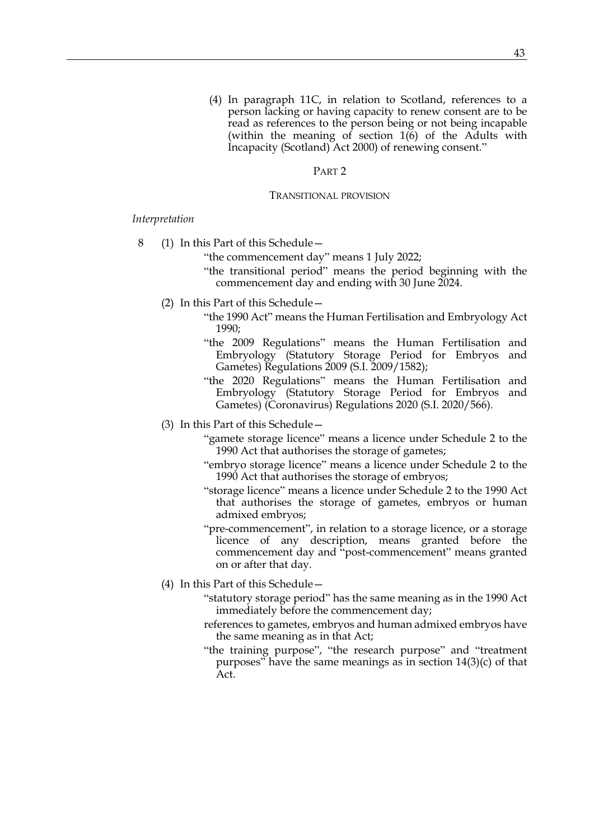(4) In paragraph [11C,](#page-39-2) in relation to Scotland, references to a person lacking or having capacity to renew consent are to be read as references to the person being or not being incapable (within the meaning of section 1(6) of the Adults with Incapacity (Scotland) Act 2000) of renewing consent."

## PART<sub>2</sub>

#### TRANSITIONAL PROVISION

*Interpretation*

- 8 (1) In this Part of this Schedule—
	- "the commencement day" means 1 July 2022;
	- "the transitional period" means the period beginning with the commencement day and ending with 30 June 2024.
	- (2) In this Part of this Schedule—
		- "the 1990 Act" means the Human Fertilisation and Embryology Act 1990;
		- "the 2009 Regulations" means the Human Fertilisation and Embryology (Statutory Storage Period for Embryos and Gametes) Regulations 2009 (S.I. 2009/1582);
		- "the 2020 Regulations" means the Human Fertilisation and Embryology (Statutory Storage Period for Embryos and Gametes) (Coronavirus) Regulations 2020 (S.I. 2020/566).
	- (3) In this Part of this Schedule—
		- "gamete storage licence" means a licence under Schedule 2 to the 1990 Act that authorises the storage of gametes;
		- "embryo storage licence" means a licence under Schedule 2 to the 1990 Act that authorises the storage of embryos;
		- "storage licence" means a licence under Schedule 2 to the 1990 Act that authorises the storage of gametes, embryos or human admixed embryos;
		- "pre-commencement", in relation to a storage licence, or a storage licence of any description, means granted before the commencement day and "post-commencement" means granted on or after that day.
	- (4) In this Part of this Schedule—
		- "statutory storage period" has the same meaning as in the 1990 Act immediately before the commencement day;
		- references to gametes, embryos and human admixed embryos have the same meaning as in that Act;
		- "the training purpose", "the research purpose" and "treatment purposes" have the same meanings as in section  $14(3)(c)$  of that Act.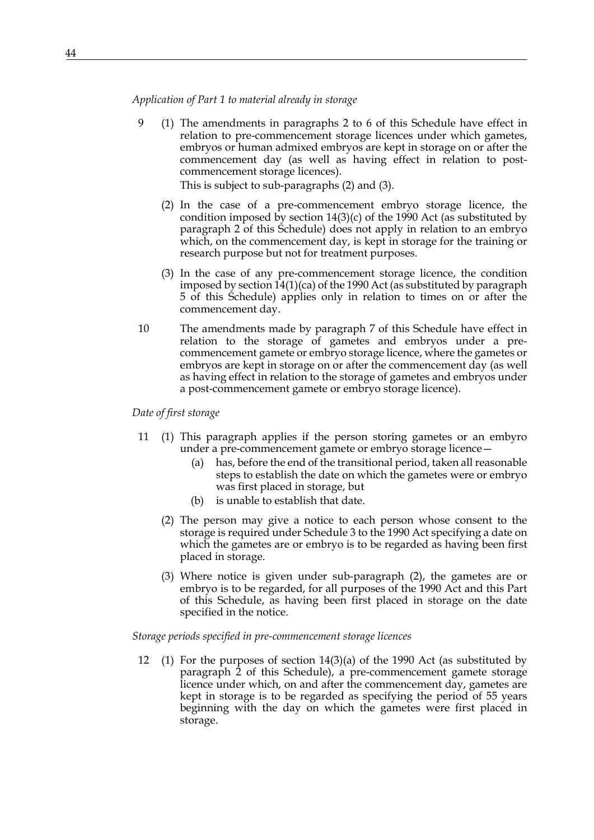*Application of Part 1 to material already in storage*

9 (1) The amendments in paragraphs [2](#page-35-0) to [6](#page-36-0) of this Schedule have effect in relation to pre-commencement storage licences under which gametes, embryos or human admixed embryos are kept in storage on or after the commencement day (as well as having effect in relation to postcommencement storage licences).

This is subject to sub-paragraphs (2) and (3).

- (2) In the case of a pre-commencement embryo storage licence, the condition imposed by section  $14(3)(c)$  of the 1990 Act (as substituted by paragraph [2](#page-35-0) of this Schedule) does not apply in relation to an embryo which, on the commencement day, is kept in storage for the training or research purpose but not for treatment purposes.
- (3) In the case of any pre-commencement storage licence, the condition imposed by section 14(1)(ca) of the 1990 Act (as substituted by paragraph [5](#page-36-1) of this Schedule) applies only in relation to times on or after the commencement day.
- 10 The amendments made by paragraph [7](#page-36-2) of this Schedule have effect in relation to the storage of gametes and embryos under a precommencement gamete or embryo storage licence, where the gametes or embryos are kept in storage on or after the commencement day (as well as having effect in relation to the storage of gametes and embryos under a post-commencement gamete or embryo storage licence).

*Date of first storage*

- 11 (1) This paragraph applies if the person storing gametes or an embyro under a pre-commencement gamete or embryo storage licence—
	- (a) has, before the end of the transitional period, taken all reasonable steps to establish the date on which the gametes were or embryo was first placed in storage, but
	- (b) is unable to establish that date.
	- (2) The person may give a notice to each person whose consent to the storage is required under Schedule 3 to the 1990 Act specifying a date on which the gametes are or embryo is to be regarded as having been first placed in storage.
	- (3) Where notice is given under sub-paragraph (2), the gametes are or embryo is to be regarded, for all purposes of the 1990 Act and this Part of this Schedule, as having been first placed in storage on the date specified in the notice.

*Storage periods specified in pre-commencement storage licences*

12 (1) For the purposes of section 14(3)(a) of the 1990 Act (as substituted by paragraph [2](#page-35-0) of this Schedule), a pre-commencement gamete storage licence under which, on and after the commencement day, gametes are kept in storage is to be regarded as specifying the period of 55 years beginning with the day on which the gametes were first placed in storage.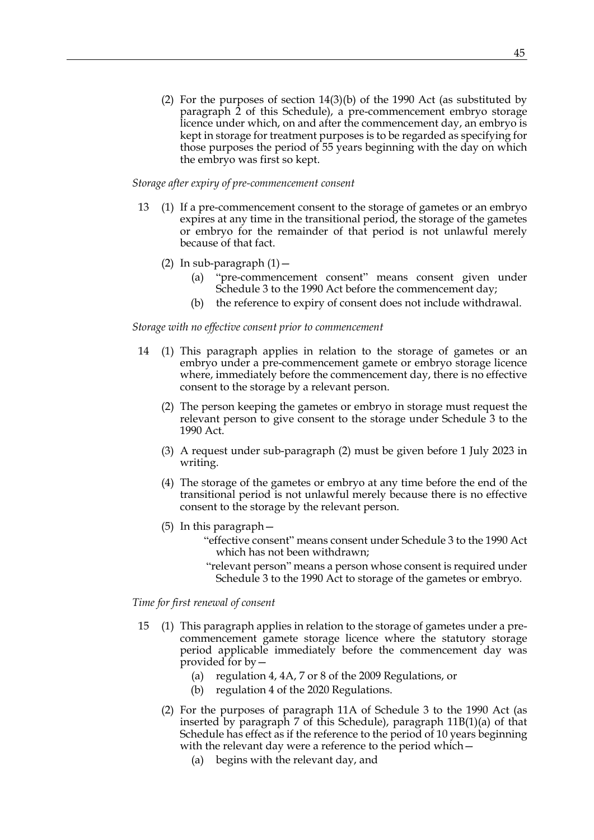(2) For the purposes of section 14(3)(b) of the 1990 Act (as substituted by paragraph [2](#page-35-0) of this Schedule), a pre-commencement embryo storage licence under which, on and after the commencement day, an embryo is kept in storage for treatment purposes is to be regarded as specifying for those purposes the period of 55 years beginning with the day on which the embryo was first so kept.

#### *Storage after expiry of pre-commencement consent*

- 13 (1) If a pre-commencement consent to the storage of gametes or an embryo expires at any time in the transitional period, the storage of the gametes or embryo for the remainder of that period is not unlawful merely because of that fact.
	- (2) In sub-paragraph  $(1)$  -
		- (a) "pre-commencement consent" means consent given under Schedule 3 to the 1990 Act before the commencement day;
		- (b) the reference to expiry of consent does not include withdrawal.

## *Storage with no effective consent prior to commencement*

- <span id="page-44-0"></span>14 (1) This paragraph applies in relation to the storage of gametes or an embryo under a pre-commencement gamete or embryo storage licence where, immediately before the commencement day, there is no effective consent to the storage by a relevant person.
	- (2) The person keeping the gametes or embryo in storage must request the relevant person to give consent to the storage under Schedule 3 to the 1990 Act.
	- (3) A request under sub-paragraph [\(2\)](#page-44-0) must be given before 1 July 2023 in writing.
	- (4) The storage of the gametes or embryo at any time before the end of the transitional period is not unlawful merely because there is no effective consent to the storage by the relevant person.
	- (5) In this paragraph—
		- "effective consent" means consent under Schedule 3 to the 1990 Act which has not been withdrawn;
		- "relevant person" means a person whose consent is required under Schedule 3 to the 1990 Act to storage of the gametes or embryo.

#### *Time for first renewal of consent*

- <span id="page-44-1"></span>15 (1) This paragraph applies in relation to the storage of gametes under a precommencement gamete storage licence where the statutory storage period applicable immediately before the commencement day was provided for by—
	- (a) regulation 4, 4A, 7 or 8 of the 2009 Regulations, or
	- (b) regulation 4 of the 2020 Regulations.
	- (2) For the purposes of paragraph [11A](#page-37-3) of Schedule 3 to the 1990 Act (as inserted by paragraph [7](#page-36-2) of this Schedule), paragraph [11B\(1\)\(a\)](#page-38-7) of that Schedule has effect as if the reference to the period of 10 years beginning with the relevant day were a reference to the period which –
		- (a) begins with the relevant day, and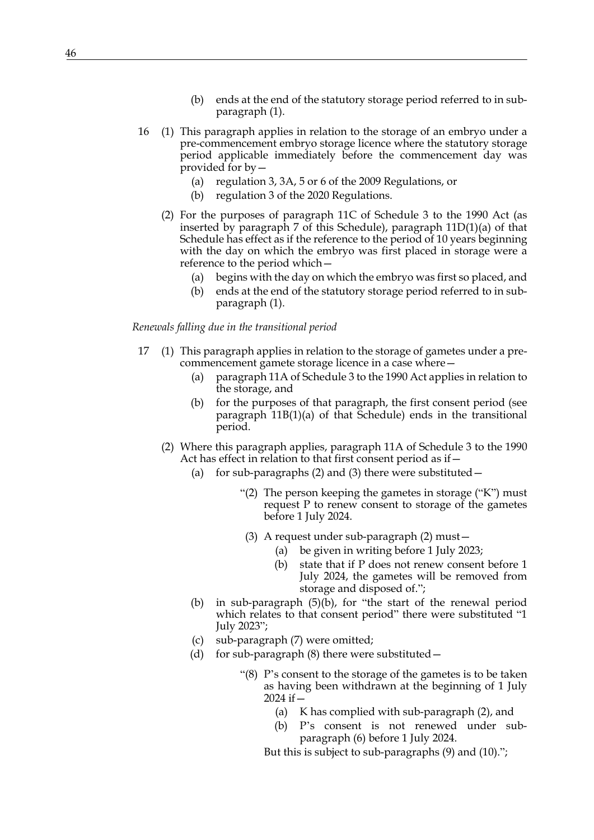- (b) ends at the end of the statutory storage period referred to in subparagraph [\(1\).](#page-44-1)
- <span id="page-45-0"></span>16 (1) This paragraph applies in relation to the storage of an embryo under a pre-commencement embryo storage licence where the statutory storage period applicable immediately before the commencement day was provided for by—
	- (a) regulation 3, 3A, 5 or 6 of the 2009 Regulations, or
	- (b) regulation 3 of the 2020 Regulations.
	- (2) For the purposes of paragraph [11C](#page-39-2) of Schedule 3 to the 1990 Act (as inserted by paragraph 7 of this Schedule), paragraph [11D\(1\)\(a\)](#page-41-4) of that Schedule has effect as if the reference to the period of 10 years beginning with the day on which the embryo was first placed in storage were a reference to the period which—
		- (a) begins with the day on which the embryo was first so placed, and
		- (b) ends at the end of the statutory storage period referred to in subparagraph [\(1\).](#page-45-0)

#### *Renewals falling due in the transitional period*

- 17 (1) This paragraph applies in relation to the storage of gametes under a precommencement gamete storage licence in a case where—
	- (a) paragraph [11A](#page-37-3) of Schedule 3 to the 1990 Act applies in relation to the storage, and
	- (b) for the purposes of that paragraph, the first consent period (see paragraph [11B\(1\)\(a\)](#page-38-7) of that Schedule) ends in the transitional period.
	- (2) Where this paragraph applies, paragraph [11A](#page-37-3) of Schedule 3 to the 1990 Act has effect in relation to that first consent period as if—
		- (a) for sub-paragraphs [\(2\)](#page-37-0) and [\(3\)](#page-37-4) there were substituted—
			- "(2) The person keeping the gametes in storage ("K") must request P to renew consent to storage of the gametes before 1 July 2024.
				- (3) A request under sub-paragraph (2) must—
					- (a) be given in writing before 1 July 2023;
					- (b) state that if P does not renew consent before 1 July 2024, the gametes will be removed from storage and disposed of.";
		- (b) in sub-paragraph [\(5\)\(b\)](#page-37-5), for "the start of the renewal period which relates to that consent period" there were substituted "1 July 2023";
		- (c) sub-paragraph [\(7\)](#page-37-2) were omitted;
		- (d) for sub-paragraph  $(8)$  there were substituted  $-$ 
			- "(8) P's consent to the storage of the gametes is to be taken as having been withdrawn at the beginning of 1 July  $2024$  if  $-$ 
				- (a) K has complied with sub-paragraph (2), and
				- (b) P's consent is not renewed under subparagraph (6) before 1 July 2024.
				- But this is subject to sub-paragraphs (9) and (10).";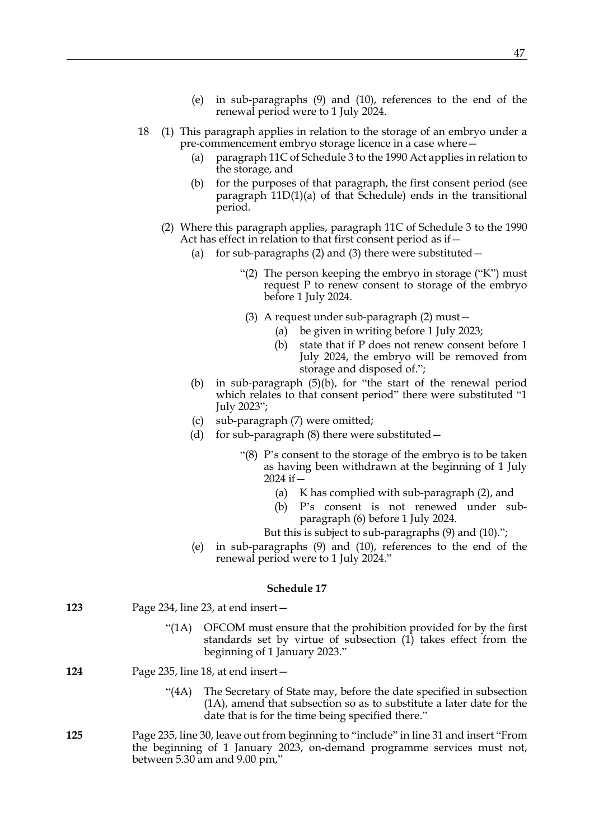- (e) in sub-paragraphs [\(9\)](#page-38-0) and [\(10\),](#page-38-1) references to the end of the renewal period were to 1 July 2024.
- 18 (1) This paragraph applies in relation to the storage of an embryo under a pre-commencement embryo storage licence in a case where—
	- (a) paragraph [11C](#page-39-2) of Schedule 3 to the 1990 Act applies in relation to the storage, and
	- (b) for the purposes of that paragraph, the first consent period (see paragraph [11D\(1\)\(a\)](#page-41-4) of that Schedule) ends in the transitional period.
	- (2) Where this paragraph applies, paragraph [11C](#page-39-2) of Schedule 3 to the 1990 Act has effect in relation to that first consent period as if—
		- (a) for sub-paragraphs [\(2\)](#page-40-0) and [\(3\)](#page-40-7) there were substituted  $-$ 
			- "(2) The person keeping the embryo in storage ("K") must request P to renew consent to storage of the embryo before 1 July 2024.
			- (3) A request under sub-paragraph (2) must—
				- (a) be given in writing before 1 July 2023;
				- (b) state that if P does not renew consent before 1 July 2024, the embryo will be removed from storage and disposed of.";
		- (b) in sub-paragraph [\(5\)\(b\)](#page-40-8), for "the start of the renewal period which relates to that consent period" there were substituted "1 July 2023";
		- (c) sub-paragraph [\(7\)](#page-40-2) were omitted;
		- (d) for sub-paragraph  $(8)$  there were substituted  $-$ 
			- "(8) P's consent to the storage of the embryo is to be taken as having been withdrawn at the beginning of 1 July 2024 if—
				- (a) K has complied with sub-paragraph (2), and
				- (b) P's consent is not renewed under subparagraph (6) before 1 July 2024.
				- But this is subject to sub-paragraphs (9) and (10).";
		- (e) in sub-paragraphs [\(9\)](#page-40-3) and [\(10\),](#page-41-0) references to the end of the renewal period were to 1 July 2024."

## **Schedule 17**

| 123 | Page 234, line 23, at end insert- |
|-----|-----------------------------------|
|-----|-----------------------------------|

- <span id="page-46-0"></span>"(1A) OFCOM must ensure that the prohibition provided for by the first standards set by virtue of subsection (1) takes effect from the beginning of 1 January 2023."
- **124** Page 235, line 18, at end insert—
	- "(4A) The Secretary of State may, before the date specified in subsection [\(1A\),](#page-46-0) amend that subsection so as to substitute a later date for the date that is for the time being specified there."
- **125** Page 235, line 30, leave out from beginning to "include" in line 31 and insert "From the beginning of 1 January 2023, on-demand programme services must not, between 5.30 am and 9.00 pm,"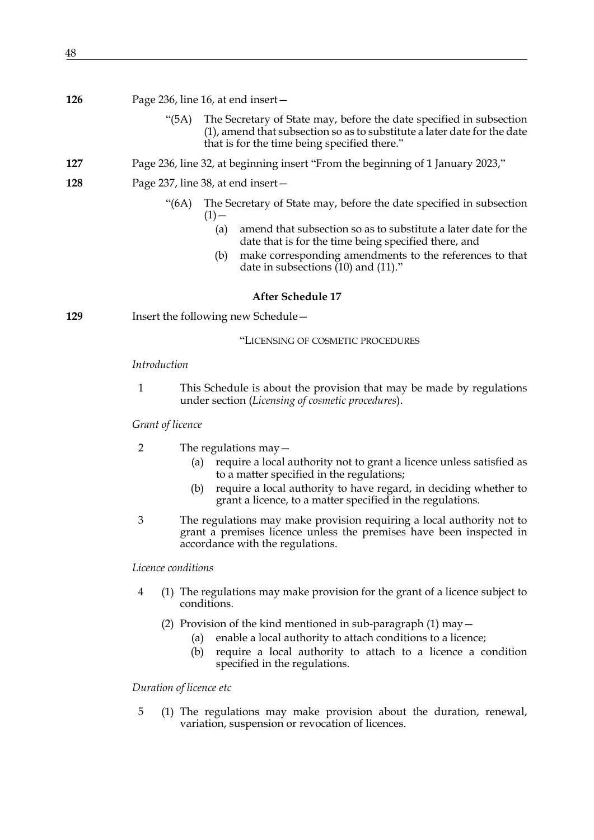- **126** Page 236, line 16, at end insert—
	- "(5A) The Secretary of State may, before the date specified in subsection (1), amend that subsection so as to substitute a later date for the date that is for the time being specified there."
- **127** Page 236, line 32, at beginning insert "From the beginning of 1 January 2023,"
- **128** Page 237, line 38, at end insert—
	- "(6A) The Secretary of State may, before the date specified in subsection  $(1)$  —
		- (a) amend that subsection so as to substitute a later date for the date that is for the time being specified there, and
		- (b) make corresponding amendments to the references to that date in subsections (10) and (11)."

### **After Schedule 17**

**129** Insert the following new Schedule -

#### "LICENSING OF COSMETIC PROCEDURES

#### *Introduction*

1 This Schedule is about the provision that may be made by regulations under section (*Licensing of cosmetic procedures*).

#### *Grant of licence*

- 2 The regulations may—
	- (a) require a local authority not to grant a licence unless satisfied as to a matter specified in the regulations;
	- (b) require a local authority to have regard, in deciding whether to grant a licence, to a matter specified in the regulations.
- 3 The regulations may make provision requiring a local authority not to grant a premises licence unless the premises have been inspected in accordance with the regulations.

## *Licence conditions*

- 4 (1) The regulations may make provision for the grant of a licence subject to conditions.
	- (2) Provision of the kind mentioned in sub-paragraph  $(1)$  may  $-$ 
		- (a) enable a local authority to attach conditions to a licence;
		- (b) require a local authority to attach to a licence a condition specified in the regulations.

#### *Duration of licence etc*

<span id="page-47-0"></span>5 (1) The regulations may make provision about the duration, renewal, variation, suspension or revocation of licences.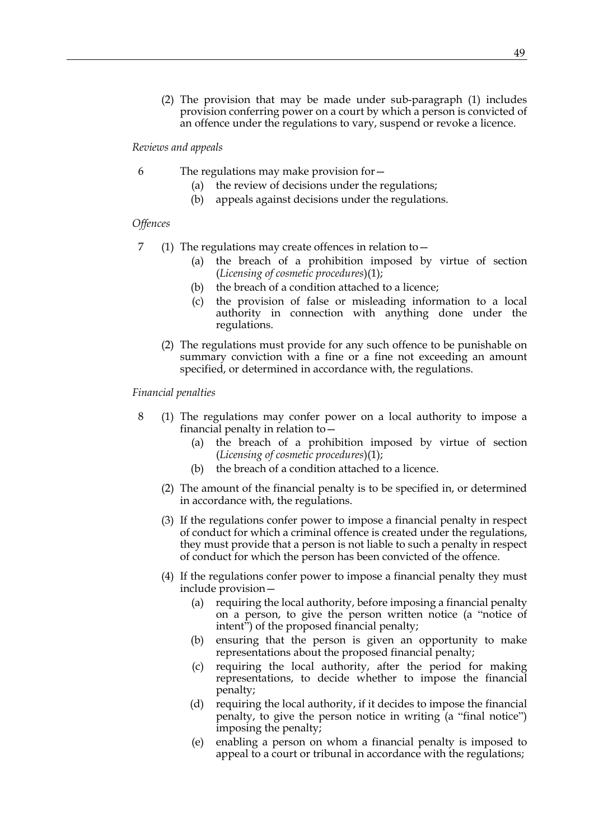(2) The provision that may be made under sub-paragraph [\(1\)](#page-47-0) includes provision conferring power on a court by which a person is convicted of an offence under the regulations to vary, suspend or revoke a licence.

*Reviews and appeals*

- 6 The regulations may make provision for—
	- (a) the review of decisions under the regulations;
	- (b) appeals against decisions under the regulations.

## *Offences*

- 7 (1) The regulations may create offences in relation to—
	- (a) the breach of a prohibition imposed by virtue of section (*Licensing of cosmetic procedures*[\)\(1\)](#page-21-1);
	- (b) the breach of a condition attached to a licence;
	- (c) the provision of false or misleading information to a local authority in connection with anything done under the regulations.
	- (2) The regulations must provide for any such offence to be punishable on summary conviction with a fine or a fine not exceeding an amount specified, or determined in accordance with, the regulations.

#### *Financial penalties*

- <span id="page-48-0"></span>8 (1) The regulations may confer power on a local authority to impose a financial penalty in relation to—
	- (a) the breach of a prohibition imposed by virtue of section (*Licensing of cosmetic procedures*[\)\(1\)](#page-21-1);
	- (b) the breach of a condition attached to a licence.
	- (2) The amount of the financial penalty is to be specified in, or determined in accordance with, the regulations.
	- (3) If the regulations confer power to impose a financial penalty in respect of conduct for which a criminal offence is created under the regulations, they must provide that a person is not liable to such a penalty in respect of conduct for which the person has been convicted of the offence.
	- (4) If the regulations confer power to impose a financial penalty they must include provision—
		- (a) requiring the local authority, before imposing a financial penalty on a person, to give the person written notice (a "notice of intent") of the proposed financial penalty;
		- (b) ensuring that the person is given an opportunity to make representations about the proposed financial penalty;
		- (c) requiring the local authority, after the period for making representations, to decide whether to impose the financial penalty;
		- (d) requiring the local authority, if it decides to impose the financial penalty, to give the person notice in writing (a "final notice") imposing the penalty;
		- (e) enabling a person on whom a financial penalty is imposed to appeal to a court or tribunal in accordance with the regulations;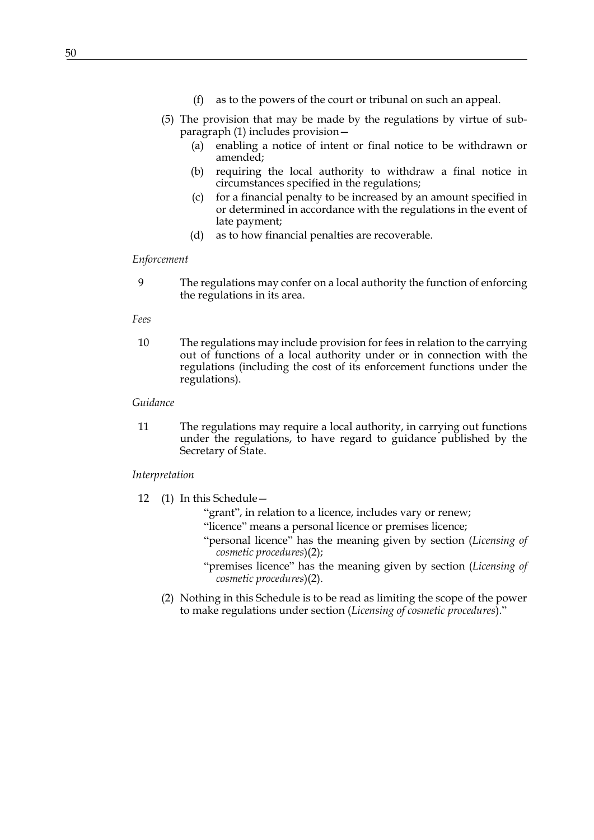- (f) as to the powers of the court or tribunal on such an appeal.
- (5) The provision that may be made by the regulations by virtue of subparagraph [\(1\)](#page-48-0) includes provision—
	- (a) enabling a notice of intent or final notice to be withdrawn or amended;
	- (b) requiring the local authority to withdraw a final notice in circumstances specified in the regulations;
	- (c) for a financial penalty to be increased by an amount specified in or determined in accordance with the regulations in the event of late payment;
	- (d) as to how financial penalties are recoverable.

### *Enforcement*

9 The regulations may confer on a local authority the function of enforcing the regulations in its area.

*Fees*

10 The regulations may include provision for fees in relation to the carrying out of functions of a local authority under or in connection with the regulations (including the cost of its enforcement functions under the regulations).

#### *Guidance*

11 The regulations may require a local authority, in carrying out functions under the regulations, to have regard to guidance published by the Secretary of State.

## *Interpretation*

- 12 (1) In this Schedule—
	- "grant", in relation to a licence, includes vary or renew;
	- "licence" means a personal licence or premises licence;
	- "personal licence" has the meaning given by section (*Licensing of cosmetic procedures*)(2);
	- "premises licence" has the meaning given by section (*Licensing of cosmetic procedures*)(2).
	- (2) Nothing in this Schedule is to be read as limiting the scope of the power to make regulations under section (*Licensing of cosmetic procedures*)."